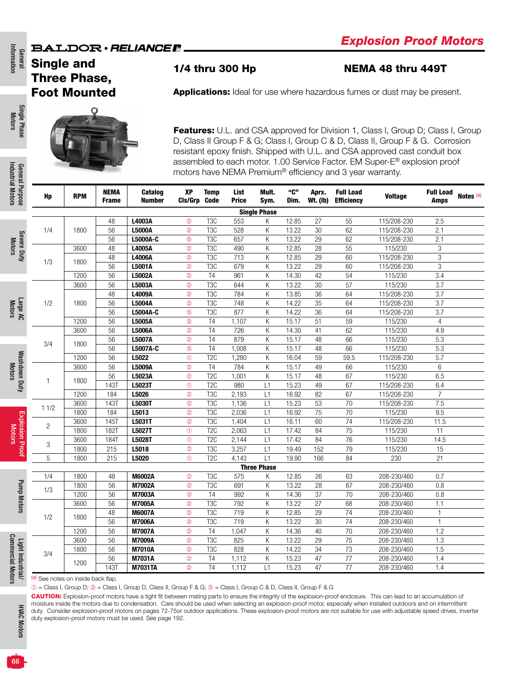## Single and Three Phase, Foot Mounted

Single Phase Motors

General<br>Information Information

Industrial Motors Industrial Motors Gener General Purpose

Severe Duty Motors

(a) See notes on inside back flap.

 $\circledR$  = Class I, Group D;  $\circledR$  = Class I, Group D, Class II, Group F & G;  $\circledR$  = Class I, Group C & D, Class II, Group F & G

CAUTION: Explosion-proof motors have a tight fit between mating parts to ensure the integrity of the explosion-proof enclosure. This can lead to an accumulation of moisture inside the motors due to condensation. Care should be used when selecting an explosion-proof motor, especially when installed outdoors and on intermittent duty. Consider explosion-proof motors on pages 72-75or outdoor applications. These explosion-proof motors are not suitable for use with adjustable speed drives, inverter duty explosion-proof motors must be used. See page 192.

1/4 thru 300 Hp NEMA 48 thru 449T

Applications: Ideal for use where hazardous fumes or dust may be present.

Features: U.L. and CSA approved for Division 1, Class I, Group D; Class I, Group D, Class II Group F & G; Class I, Group C & D, Class II, Group F & G. Corrosion resistant epoxy finish. Shipped with U.L. and CSA approved cast conduit box assembled to each motor. 1.00 Service Factor. EM Super-E® explosion proof motors have NEMA Premium® efficiency and 3 year warranty.

| il Purpose<br>Hp     | <b>RPM</b> | <b>NEMA</b><br><b>Frame</b> | Catalog<br><b>Number</b> | XP<br>CIs/Grp  | <b>Temp</b><br><b>Code</b> | List<br><b>Price</b> | Mult.<br>Sym.       | "ር"<br>Dim. | Aprx.<br><b>Wt. (Ib)</b> | <b>Full Load</b><br><b>Efficiency</b> | <b>Voltage</b> | <b>Full Load</b><br>Amps | Notes (a) |
|----------------------|------------|-----------------------------|--------------------------|----------------|----------------------------|----------------------|---------------------|-------------|--------------------------|---------------------------------------|----------------|--------------------------|-----------|
|                      |            |                             |                          |                |                            |                      | <b>Single Phase</b> |             |                          |                                       |                |                          |           |
|                      |            | 48                          | L4003A                   | $^{\circ}$     | T <sub>3</sub> C           | 553                  | K                   | 12.85       | 27                       | 55                                    | 115/208-230    | 2.5                      |           |
| 1/4                  | 1800       | 56                          | <b>L5000A</b>            | $^{\circ}$     | T <sub>3</sub> C           | 528                  | Κ                   | 13.22       | 30                       | 62                                    | 115/208-230    | 2.1                      |           |
|                      |            | 56                          | L5000A-C                 | $\circledS$    | T <sub>3</sub> C           | 657                  | Κ                   | 13.22       | 29                       | 62                                    | 115/208-230    | 2.1                      |           |
| Severe Duty          | 3600       | 48                          | L4005A                   | $^{\circ}$     | T <sub>3</sub> C           | 490                  | K                   | 12.85       | $\overline{28}$          | $\overline{55}$                       | 115/230        | 3                        |           |
|                      |            | 48                          | L4006A                   | $^{\circ}$     | T <sub>3</sub> C           | 713                  | K                   | 12.85       | $\overline{29}$          | 60                                    | 115/208-230    | 3                        |           |
| 1/3                  | 1800       | 56                          | L5001A                   | $^{\circ}$     | T <sub>3</sub> C           | 679                  | K                   | 13.22       | $\overline{29}$          | 60                                    | 115/208-230    | 3                        |           |
|                      | 1200       | 56                          | L5002A                   | $^{\circledR}$ | T <sub>4</sub>             | 961                  | Κ                   | 14.30       | 42                       | 54                                    | 115/230        | 3.4                      |           |
|                      | 3600       | 56                          | L5003A                   | $^{\circledR}$ | T <sub>3</sub> C           | 644                  | Κ                   | 13.22       | $\overline{30}$          | $\overline{57}$                       | 115/230        | 3.7                      |           |
|                      |            | 48                          | L4009A                   | $^{\circledR}$ | T <sub>3</sub> C           | 784                  | Κ                   | 13.85       | 36                       | 64                                    | 115/208-230    | 3.7                      |           |
| 1/2                  | 1800       | 56                          | L5004A                   | $^{\circledR}$ | T <sub>3</sub> C           | 748                  | Κ                   | 14.22       | 35                       | 64                                    | 115/208-230    | 3.7                      |           |
|                      |            | 56                          | L5004A-C                 | $\circledS$    | T <sub>3</sub> C           | 877                  | Κ                   | 14.22       | 36                       | 64                                    | 115/208-230    | 3.7                      |           |
|                      | 1200       | 56                          | L5005A                   | $^{\circledR}$ | T <sub>4</sub>             | 1,107                | Κ                   | 15.17       | 51                       | $\overline{59}$                       | 115/230        | $\overline{4}$           |           |
|                      | 3600       | 56                          | L5006A                   | $^{\circledR}$ | T <sub>4</sub>             | 726                  | Κ                   | 14.30       | 41                       | 62                                    | 115/230        | 4.9                      |           |
| 3/4                  | 1800       | 56                          | <b>L5007A</b>            | $^{\circledR}$ | T <sub>4</sub>             | 879                  | Κ                   | 15.17       | 48                       | 66                                    | 115/230        | 5.3                      |           |
|                      |            | 56                          | L5007A-C                 | $\circledS$    | T <sub>4</sub>             | 1,008                | Κ                   | 15.17       | 48                       | 66                                    | 115/230        | 5.3                      |           |
|                      | 1200       | $\overline{56}$             | L5022                    | $\odot$        | T <sub>2</sub> C           | 1,280                | Κ                   | 16.04       | $\overline{59}$          | 59.5                                  | 115/208-230    | $\overline{5.7}$         |           |
|                      | 3600       | 56                          | L5009A                   | $^{\circ}$     | T <sub>4</sub>             | 784                  | K                   | 15.17       | 49                       | 66                                    | 115/230        | 6                        |           |
|                      | 1800       | $\overline{56}$             | L5023A                   | $^{\circledR}$ | T <sub>2</sub> C           | 1,001                | Κ                   | 15.17       | 48                       | 67                                    | 115/230        | 6.5                      |           |
| 1                    |            | <b>143T</b>                 | L5023T                   | $^{\circ}$     | T <sub>2</sub> C           | 980                  | L1                  | 15.23       | 49                       | 67                                    | 115/208-230    | 6.4                      |           |
|                      | 1200       | 184                         | L5026                    | $^{\circ}$     | T <sub>3</sub> C           | 2,193                | L1                  | 16.92       | 82                       | 67                                    | 115/208-230    | $\overline{7}$           |           |
| 11/2                 | 3600       | 143T                        | L5030T                   | $^{\circ}$     | T <sub>3</sub> C           | 1,136                | L1                  | 15.23       | 53                       | 70                                    | 115/208-230    | 7.5                      |           |
|                      | 1800       | 184                         | L5013                    | $^{\circ}$     | T <sub>3</sub> C           | 2,036                | L1                  | 16.92       | 75                       | 70                                    | 115/230        | 9.5                      |           |
| $\overline{c}$       | 3600       | <b>145T</b>                 | L5031T                   | $^{\circ}$     | T <sub>3</sub> C           | 1,404                | L1                  | 16.11       | 60                       | $\overline{74}$                       | 115/208-230    | 11.5                     |           |
|                      | 1800       | <b>182T</b>                 | L5027T                   | $\circledD$    | T <sub>2</sub> C           | 2,063                | L1                  | 17.42       | 84                       | 75                                    | 115/230        | 11                       |           |
| 3                    | 3600       | <b>184T</b>                 | L5028T                   | $^{\circ}$     | T <sub>2</sub> C           | 2.144                | L1                  | 17.42       | 84                       | 76                                    | 115/230        | 14.5                     |           |
|                      | 1800       | 215                         | L5018                    | $^{\circ}$     | T <sub>3</sub> C           | 3,257                | L1                  | 19.49       | 152                      | 79                                    | 115/230        | 15                       |           |
| Explosion Proof<br>5 | 1800       | 215                         | L5020                    | $\circ$        | T <sub>2</sub> C           | 4,143                | L1                  | 19.90       | 166                      | 84                                    | 230            | 21                       |           |
|                      |            |                             |                          |                |                            |                      | <b>Three Phase</b>  |             |                          |                                       |                |                          |           |
| 1/4                  | 1800       | 48                          | M6002A                   | $^{\circ}$     | T <sub>3</sub> C           | 575                  | Κ                   | 12.85       | 26                       | 63                                    | 208-230/460    | 0.7                      |           |
| 1/3                  | 1800       | 56                          | M7002A                   | $^{\circ}$     | T <sub>3</sub> C           | 691                  | Κ                   | 13.22       | 28                       | 67                                    | 208-230/460    | 0.8                      |           |
|                      | 1200       | 56                          | M7003A                   | $^{\circ}$     | T <sub>4</sub>             | 992                  | Κ                   | 14.36       | 37                       | 70                                    | 208-230/460    | 0.8                      |           |
|                      | 3600       | 56                          | <b>M7005A</b>            | $^{\circ}$     | T <sub>3</sub> C           | 792                  | K                   | 13.22       | $\overline{27}$          | 68                                    | 208-230/460    | 1.1                      |           |
| 1/2                  | 1800       | 48                          | <b>M6007A</b>            | $^{\circ}$     | T <sub>3</sub> C           | 719                  | Κ                   | 12.85       | 29                       | 74                                    | 208-230/460    | $\mathbf{1}$             |           |
|                      |            | 56                          | <b>M7006A</b>            | $^{\circ}$     | T <sub>3</sub> C           | 719                  | Κ                   | 13.22       | 30                       | 74                                    | 208-230/460    | $\mathbf{1}$             |           |
|                      | 1200       | 56                          | <b>M7007A</b>            | $^{\circ}$     | T <sub>4</sub>             | 1,047                | Κ                   | 14.36       | 40                       | 70                                    | 208-230/460    | 1.2                      |           |
|                      | 3600       | 56                          | <b>M7009A</b>            | $^{\circ}$     | T3C                        | 825                  | K                   | 13.22       | $\overline{29}$          | $\overline{75}$                       | 208-230/460    | $\overline{1.3}$         |           |
| 3/4                  | 1800       | 56                          | <b>M7010A</b>            | $^{\circ}$     | T <sub>3</sub> C           | 828                  | Κ                   | 14.22       | 34                       | $\overline{73}$                       | 208-230/460    | 1.5                      |           |
|                      | 1200       | $\overline{56}$             | M7031A                   | $^{\circ}$     | T <sub>4</sub>             | 1,112                | K                   | 15.23       | 47                       | $\overline{77}$                       | 208-230/460    | 1.4                      |           |
| Light Industri       |            | 143T                        | <b>M7031TA</b>           | $\circledcirc$ | $\overline{14}$            | 1,112                | L1                  | 15.23       | 47                       | $\overline{77}$                       | 208-230/460    | 1.4                      |           |

66

HVAC Motors

**HVAC Motors**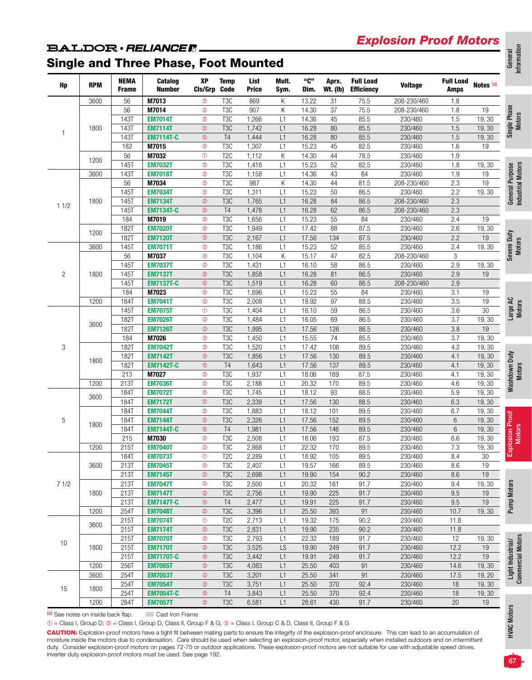## *Explosion Proof Motors*

# **BALDOR** · RELIANCE F.

## Single and Three Phase, Foot Mounted

| Hp             | <b>RPM</b> | <b>NEMA</b><br><b>Frame</b> | Catalog<br><b>Number</b>           | XP<br>Cls/Grp Code           | <b>Temp</b>             | List<br><b>Price</b> | Mult.<br>Sym. | "ር"<br>Dim. | Aprx.<br><b>Wt. (lb)</b> | <b>Full Load</b><br><b>Efficiency</b> | <b>Voltage</b> | <b>Full Load</b><br>Amps | Notes <sup>(a)</sup> |
|----------------|------------|-----------------------------|------------------------------------|------------------------------|-------------------------|----------------------|---------------|-------------|--------------------------|---------------------------------------|----------------|--------------------------|----------------------|
|                | 3600       | 56                          | M7013                              | $^{\circ}$                   | T <sub>3</sub> C        | 869                  | Κ             | 13.22       | 31                       | 75.5                                  | 208-230/460    | 1.8                      |                      |
|                |            | 56                          | M7014                              | $^{\circ}$                   | T <sub>3</sub> C        | 907                  | Κ             | 14.30       | 37                       | 75.5                                  | 208-230/460    | 1.8                      | 19                   |
|                |            | 143T                        | <b>EM7014T</b>                     | $^{\circ}$                   | T <sub>3</sub> C        | 1,266                | L1            | 14.36       | 45                       | 85.5                                  | 230/460        | 1.5                      | 19,30                |
| 1              | 1800       | <b>143T</b>                 | <b>EM7114T</b>                     | $^{\circ}$                   | T <sub>3</sub> C        | 1,742                | L1            | 16.28       | 80                       | 85.5                                  | 230/460        | 1.5                      | 19,30                |
|                |            | 143T                        | <b>EM7114T-C</b>                   | $\circledS$                  | T <sub>4</sub>          | 1,444                | L1            | 16.28       | 80                       | 85.5                                  | 230/460        | 1.5                      | 19,30                |
|                |            | 182                         | M7015                              | $^{\circ}$                   | T <sub>3</sub> C        | 1,307                | L1            | 15.23       | 45                       | 82.5                                  | 230/460        | 1.6                      | 19                   |
|                | 1200       | 56                          | M7032                              | $\circled{0}$                | T <sub>2</sub> C        | 1,112                | К             | 14.30       | 44                       | 78.5                                  | 230/460        | 1.9                      |                      |
|                |            | <b>145T</b>                 | <b>EM7032T</b>                     | $^{\circ}$                   | T <sub>3</sub> C        | 1,416                | L1            | 15.23       | 52                       | 82.5                                  | 230/460        | 1.8                      | 19, 30               |
|                | 3600       | 143T                        | <b>EM7018T</b>                     | $^{\circ}$                   | T <sub>3</sub> C        | 1,158                | L1            | 14.36       | 43                       | 84                                    | 230/460        | 1.9                      | 19                   |
|                |            | 56                          | M7034                              | $^{\circ}$                   | T <sub>3</sub> C        | 987                  | Κ             | 14.30       | 44                       | 81.5                                  | 208-230/460    | 2.3                      | 19                   |
|                |            | 145T                        | <b>EM7034T</b>                     | $^{\circ}$                   | T <sub>3</sub> C        | 1,311                | L1            | 15.23       | 50                       | 86.5                                  | 230/460        | 2.2                      | 19,30                |
| 11/2           | 1800       | 145T                        | <b>EM7134T</b>                     | $^{\circ}$                   | T <sub>3</sub> C        | 1,765                | L1            | 16.28       | 84                       | 86.5                                  | 208-230/460    | 2.3                      |                      |
|                |            | <b>145T</b>                 | <b>EM7134T-C</b>                   | $\circledS$                  | T <sub>4</sub>          | 1,478                | L1            | 16.28       | 62                       | 86.5                                  | 208-230/460    | 2.3                      |                      |
|                |            | 184                         | M7019                              | $^{\circ}$                   | T <sub>3</sub> C        | 1,656                | L1            | 15.23       | 55                       | 84                                    | 230/460        | 2.4                      | 19                   |
|                |            | 1821                        | <b>EM7020T</b>                     | $^{\circ}$                   | T <sub>3</sub> C        | 1,949                | L1            | 17.42       | 88                       | 87.5                                  | 230/460        | 2.6                      | 19,30                |
|                | 1200       | 182T                        | <b>EM7120T</b>                     | $\circledcirc$               | T <sub>3</sub> C        | 2,167                | L1            | 17.56       | 134                      | 87.5                                  | 230/460        | 2.2                      | 19                   |
|                | 3600       | <b>145T</b>                 | <b>EM7071T</b>                     | $^{\circ}$                   | T <sub>3</sub> C        | 1,186                | L1            | 15.23       | 52                       | 85.5                                  | 230/460        | 2.4                      | 19, 30               |
|                |            | 56                          | M7037                              | $^{\circ}$                   | T <sub>3</sub> C        | 1,104                | Κ             | 15.17       | 47                       | 82.5                                  | 208-230/460    | 3                        |                      |
|                |            | 145T                        | <b>EM7037T</b>                     | $^{\circ}$                   | T <sub>3</sub> C        | 1,431                | L1            | 16.10       | 58                       | 86.5                                  | 230/460        | 2.9                      | 19, 30               |
| $\overline{c}$ | 1800       | <b>145T</b>                 | <b>EM7137T</b>                     | $^{\circ}$                   | T <sub>3</sub> C        | 1,858                | L1            | 16.28       | 81                       | 86.5                                  | 230/460        | 2.9                      | 19                   |
|                |            | <b>145T</b>                 | <b>EM7137T-C</b>                   | $\circledS$                  | T <sub>3</sub> C        | 1,519                | L1            | 16.28       | 60                       | 86.5                                  | 208-230/460    | 2.9                      |                      |
|                |            | 184                         | M7023                              | $^{\circ}$                   | T <sub>3</sub> C        | 1,696                | L1            | 15.23       | 55                       | 84                                    | 230/460        | 3.1                      | 19                   |
|                | 1200       | <b>184T</b>                 | <b>EM7041T</b>                     | $^{\circ}$                   | T <sub>3</sub> C        | 2,008                | L1            | 18.92       | 97                       | 88.5                                  | 230/460        | 3.5                      | 19                   |
|                |            | 145T                        | <b>EM7075T</b>                     | $\circled{0}$                | T <sub>3</sub> C        | 1,404                | L1            | 16.10       | 59                       | 86.5                                  | 230/460        | 3.6                      | 30                   |
|                |            | 182T                        | <b>EM7026T</b>                     | $^{\circ}$                   | T <sub>3</sub> C        | 1,484                | L1            | 16.05       | 69                       | 86.5                                  | 230/460        | 3.7                      | 19,30                |
|                | 3600       | 182T                        | <b>EM7126T</b>                     | $^{\circ}$                   | T <sub>3</sub> C        | 1,995                | L1            | 17.56       | 126                      | 86.5                                  | 230/460        | 3.8                      | 19                   |
|                |            | 184                         | M7026                              | $^{\circ}$                   | T <sub>3</sub> C        | 1,450                | L1            | 15.55       | 74                       | 85.5                                  | 230/460        | 3.7                      | 19, 30               |
| 3              |            | <b>182T</b>                 | <b>EM7042T</b>                     | $^{\circ}$                   | T <sub>3</sub> C        | 1,520                | L1            | 17.42       | 108                      | 89.5                                  | 230/460        | 4.2                      | 19, 30               |
|                |            | 1821                        | <b>EM7142T</b>                     | $^{\circledR}$               | T <sub>3</sub> C        | 1,856                | L1            | 17.56       | 130                      | 89.5                                  | 230/460        | 4.1                      | 19, 30               |
|                | 1800       | 182T                        | <b>EM7142T-C</b>                   | $\circledS$                  | T <sub>4</sub>          | 1,643                | L1            | 17.56       | 137                      | 89.5                                  | 230/460        | 4.1                      | 19,30                |
|                |            | 213                         | M7027                              | $^{\circ}$                   | T <sub>3</sub> C        | 1,937                | L1            | 18.06       | 169                      | 87.5                                  | 230/460        | 4.1                      | 19, 30               |
|                | 1200       | 213T                        | <b>EM7036T</b>                     | $^{\circ}$                   | T <sub>3</sub> C        | 2,188                | L1            | 20.32       | 170                      | 89.5                                  | 230/460        | 4.6                      | 19,30                |
|                |            | 184T                        | <b>EM7072T</b>                     | $^{\circ}$                   | T <sub>3</sub> C        | 1,745                | L1            | 18.12       | 93                       | 88.5                                  | 230/460        | 5.9                      | 19,30                |
|                | 3600       | 184T                        | <b>EM7172T</b>                     | $^{\circ}$                   | T <sub>3</sub> C        | 2,339                | L1            | 17.56       | 130                      | 88.5                                  | 230/460        | 6.3                      | 19, 30               |
|                |            | 184T                        | <b>EM7044T</b>                     | $^{\circ}$                   | T <sub>3</sub> C        | 1,883                | L1            | 18.12       | 101                      | 89.5                                  | 230/460        | 6.7                      | 19, 30               |
| 5              |            | 184T                        | <b>EM7144T</b>                     | $^{\circ}$                   | T <sub>3</sub> C        | 2,326                | L1            | 17.56       | 152                      | 89.5                                  | 230/460        | $6\phantom{.}6$          | 19, 30               |
|                | 1800       | 184T                        | <b>EM7144T-C</b>                   | $\circledS$                  | T <sub>4</sub>          | 1,981                | L1            | 17.56       | 146                      | 89.5                                  | 230/460        | 6                        | 19, 30               |
|                |            | 215                         | M7030                              | $^{\circ}$                   | T <sub>3</sub> C        | 2,508                | L1            | 18.06       | 193                      | 87.5                                  | 230/460        | 6.6                      | 19, 30               |
|                | 1200       | 2151                        | <b>EM7040T</b>                     | $^{\circ}$                   | T <sub>3</sub> C        | 2,868                | L1            | 22.32       | 170                      | 89.5                                  | 230/460        | 7.3                      | 19, 30               |
|                |            | 184T                        | <b>EM7073T</b>                     | $\circled{0}$                | T <sub>2</sub> C        | 2,289                | L1            | 18.92       | 105                      | 89.5                                  | 230/460        | 8.4                      | 30                   |
|                |            |                             |                                    |                              |                         |                      |               | 19.57       |                          | 89.5                                  | 230/460        |                          |                      |
|                | 3600       | 213T<br>213T                | <b>EM7045T</b><br><b>EM7145T</b>   | $^{\circledR}$<br>$^{\circ}$ | T3C<br>T <sub>3</sub> C | 2,407<br>2,698       | L1<br>L1      | 19.90       | 166<br>154               | 90.2                                  | 230/460        | 8.6<br>8.6               | 19<br>19             |
| 71/2           |            | 213T                        | <b>EM7047T</b>                     | $^{\circledR}$               | T <sub>3</sub> C        | 2,500                | L1            | 20.32       |                          | 91.7                                  | 230/460        | 9.4                      |                      |
|                | 1800       | 213T                        | <b>EM7147T</b>                     | $^{\circ}$                   | T <sub>3</sub> C        | 2,756                | L1            | 19.90       | 161<br>225               | 91.7                                  | 230/460        | 9.5                      | 19, 30<br>19         |
|                |            |                             |                                    | $\circledS$                  |                         |                      |               |             |                          |                                       |                |                          |                      |
|                |            | 213T                        | <b>EM7147T-C</b><br><b>EM7048T</b> |                              | T <sub>4</sub>          | 2,477                | L1            | 19.91       | 225                      | 91.7                                  | 230/460        | 9.5                      | 19                   |
|                | 1200       | 254T                        |                                    | $^{\circledR}$               | T <sub>3</sub> C        | 3,396                | L1            | 25.50       | 393                      | 91                                    | 230/460        | 10.7                     | 19, 30               |
|                | 3600       | 215T                        | <b>EM7074T</b>                     | $\circledcirc$               | T <sub>2</sub> C        | 2,713                | L1            | 19.32       | 175                      | 90.2                                  | 230/460        | 11.8                     |                      |
|                |            | 215T                        | <b>EM7174T</b>                     | $^{\circ}$                   | T <sub>3</sub> C        | 2,831                | L1            | 19.90       | 235                      | 90.2                                  | 230/460        | 11.8                     |                      |
| 10             |            | 215T                        | <b>EM7070T</b>                     | $^{\circledR}$               | T <sub>3</sub> C        | 2,793                | L1            | 22.32       | 189                      | 91.7                                  | 230/460        | 12                       | 19, 30               |
|                | 1800       | 215T                        | <b>EM7170T</b>                     | $^{\circledR}$               | T <sub>3</sub> C        | 3,525                | LS            | 19.90       | 249                      | 91.7                                  | 230/460        | 12.2                     | 19                   |
|                |            | 215T                        | <b>EM7170T-C</b>                   | $\circledS$                  | T <sub>3</sub> C        | 3,442                | L1            | 19.91       | 249                      | 91.7                                  | 230/460        | 12.2                     | 19                   |
|                | 1200       | 256T                        | <b>EM7065T</b>                     | $^{\circ}$                   | T <sub>3</sub> C        | 4,083                | L1            | 25.50       | 403                      | 91                                    | 230/460        | 14.6                     | 19, 30               |
|                | 3600       | 254T                        | <b>EM7053T</b>                     | $^{\circledR}$               | T <sub>3</sub> C        | 3,201                | L1            | 25.50       | 341                      | 91                                    | 230/460        | 17.5                     | 19, 20               |
| 15             | 1800       | 254T                        | <b>EM7054T</b>                     | $^{\circledR}$               | T <sub>3</sub> C        | 3,751                | L1            | 25.50       | 370                      | 92.4                                  | 230/460        | 18                       | 19, 30               |
|                |            | 254T                        | <b>EM7054T-C</b>                   | $\circledS$                  | <b>T4</b>               | 3,843                | L1            | 25.50       | 370                      | 92.4                                  | 230/460        | 18                       | 19, 30               |
|                | 1200       | 284T                        | <b>EM7057T</b>                     | $^{\circledR}$               | T <sub>3</sub> C        | 6,581                | L1            | 28.61       | 430                      | 91.7                                  | 230/460        | $20\,$                   | 19                   |

(a) See notes on inside back flap. Cast Iron Frame

➀ = Class I, Group D; ➁ = Class I, Group D, Class II, Group F & G; ➄ = Class I, Group C & D, Class II, Group F & G

CAUTION: Explosion-proof motors have a tight fit between mating parts to ensure the integrity of the explosion-proof enclosure. This can lead to an accumulation of moisture inside the motors due to condensation. Care should be used when selecting an explosion-proof motor, especially when installed outdoors and on intermittent duty. Consider explosion-proof motors on pages 72-75 or outdoor applications. These explosion-proof motors are not suitable for use with adjustable speed drives, inverter duty explosion-proof motors must be used. See page 192.

Motors

Industrial Motors Industrial Motors

Motors

Motors

Motors

Motors

**Commercial Motors** Commercial Motors

HVAC Motors **HVAC Motors**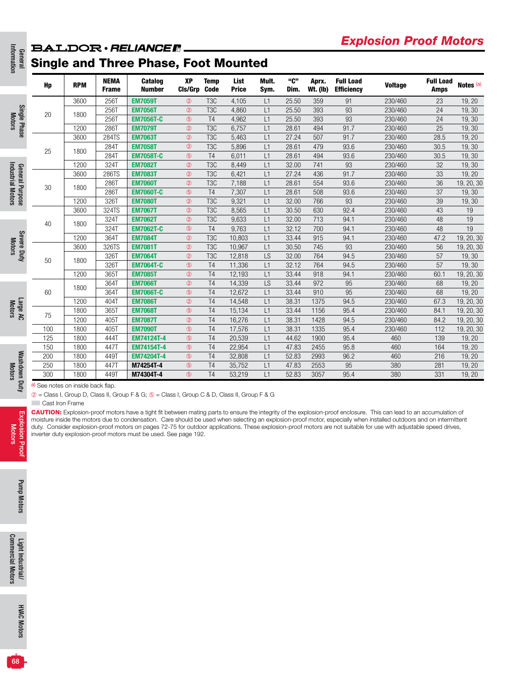# General<br>Information **BALDOR** · RELIANCE R.

|                        | Hp  | <b>RPM</b> | <b>NEMA</b><br><b>Frame</b> | <b>Catalog</b><br><b>Number</b> | <b>XP</b><br>CIs/Grp | <b>Temp</b><br><b>Code</b> | <b>List</b><br><b>Price</b> | Mult.<br>Sym. | "C"<br>Dim. | Aprx.<br><b>Wt. (Ib)</b> | <b>Full Load</b><br><b>Efficiency</b> | <b>Voltage</b> | <b>Full Load</b><br><b>Amps</b> | Notes (a)  |
|------------------------|-----|------------|-----------------------------|---------------------------------|----------------------|----------------------------|-----------------------------|---------------|-------------|--------------------------|---------------------------------------|----------------|---------------------------------|------------|
|                        |     | 3600       | 256T                        | <b>EM7059T</b>                  | $^{\circledR}$       | T <sub>3</sub> C           | 4,105                       | L1            | 25.50       | 359                      | 91                                    | 230/460        | 23                              | 19, 20     |
| Single Phase<br>Motors | 20  |            | 256T                        | <b>EM7056T</b>                  | $^{\circledR}$       | T <sub>3</sub> C           | 4.860                       | L1            | 25.50       | 393                      | 93                                    | 230/460        | 24                              | 19, 30     |
|                        |     | 1800       | 256T                        | <b>EM7056T-C</b>                | $\circledS$          | T4                         | 4,962                       | L1            | 25.50       | 393                      | 93                                    | 230/460        | $\overline{24}$                 | 19,30      |
|                        |     | 1200       | 286T                        | <b>EM7079T</b>                  | $^{\circledR}$       | T <sub>3</sub> C           | 6,757                       | L1            | 28.61       | 494                      | 91.7                                  | 230/460        | 25                              | 19,30      |
|                        |     | 3600       | 284TS                       | <b>EM7063T</b>                  | $^{\circledR}$       | T <sub>3</sub> C           | 5,463                       | L1            | 27.24       | 507                      | 91.7                                  | 230/460        | 28.5                            | 19, 20     |
|                        |     |            | 284T                        | <b>EM7058T</b>                  | $^{\circledR}$       | T <sub>3</sub> C           | 5,896                       | L1            | 28.61       | 479                      | 93.6                                  | 230/460        | 30.5                            | 19, 30     |
|                        | 25  | 1800       | 284T                        | <b>EM7058T-C</b>                | $\circledS$          | T <sub>4</sub>             | 6,011                       | L1            | 28.61       | 494                      | 93.6                                  | 230/460        | 30.5                            | 19, 30     |
|                        |     | 1200       | 324T                        | <b>EM7082T</b>                  | $^{\circledR}$       | T <sub>3</sub> C           | 8,449                       | L1            | 32.00       | 741                      | 93                                    | 230/460        | 32                              | 19, 30     |
|                        |     | 3600       | 286TS                       | <b>EM7083T</b>                  | $^{\circledR}$       | T <sub>3</sub> C           | 6,421                       | L1            | 27.24       | 436                      | 91.7                                  | 230/460        | 33                              | 19, 20     |
|                        |     |            | 286T                        | <b>EM7060T</b>                  | $^{\circledR}$       | T <sub>3</sub> C           | 7,188                       | L1            | 28.61       | 554                      | 93.6                                  | 230/460        | 36                              | 19, 20, 30 |
| General Purpose        | 30  | 1800       | 286T                        | <b>EM7060T-C</b>                | $\circledS$          | T <sub>4</sub>             | 7,307                       | L1            | 28.61       | 508                      | 93.6                                  | 230/460        | 37                              | 19,30      |
|                        |     | 1200       | 326T                        | <b>EM7080T</b>                  | $^{\circledR}$       | T <sub>3</sub> C           | 9,321                       | L1            | 32.00       | 766                      | 93                                    | 230/460        | 39                              | 19, 30     |
|                        |     | 3600       | 324TS                       | <b>EM7067T</b>                  | $^{\circledR}$       | T <sub>3</sub> C           | 8,565                       | L1            | 30.50       | 630                      | 92.4                                  | 230/460        | 43                              | 19         |
|                        | 40  |            | 324T                        | <b>EM7062T</b>                  | $^{\circledR}$       | T <sub>3</sub> C           | 9,633                       | L1            | 32.00       | 713                      | 94.1                                  | 230/460        | 48                              | 19         |
|                        |     | 1800       | 324T                        | <b>EM7062T-C</b>                | $\circledS$          | T <sub>4</sub>             | 9,763                       | L1            | 32.12       | 700                      | 94.1                                  | 230/460        | 48                              | 19         |
|                        |     | 1200       | 364T                        | <b>EM7084T</b>                  | $^{\circledR}$       | T <sub>3</sub> C           | 10,803                      | L1            | 33.44       | 915                      | 94.1                                  | 230/460        | 47.2                            | 19, 20, 30 |
|                        |     | 3600       | 326TS                       | <b>EM7081T</b>                  | $^{\circledR}$       | T <sub>3</sub> C           | 10,967                      | L1            | 30.50       | 745                      | 93                                    | 230/460        | 56                              | 19, 20, 30 |
| Severe Duty            | 50  | 1800       | 326T                        | <b>EM7064T</b>                  | $^{\circledR}$       | T <sub>3</sub> C           | 12,818                      | LS            | 32.00       | 764                      | 94.5                                  | 230/460        | 57                              | 19, 30     |
|                        |     |            | 326T                        | <b>EM7064T-C</b>                | $\circledS$          | T <sub>4</sub>             | 11,336                      | L1            | 32.12       | 764                      | 94.5                                  | 230/460        | 57                              | 19, 30     |
|                        |     | 1200       | 365T                        | <b>EM7085T</b>                  | $^{\circledR}$       | T <sub>4</sub>             | 12,193                      | L1            | 33.44       | 918                      | 94.1                                  | 230/460        | 60.1                            | 19, 20, 30 |
|                        |     | 1800       | 364T                        | <b>EM7066T</b>                  | $^{\circ}$           | T <sub>4</sub>             | 14,339                      | LS            | 33.44       | 972                      | 95                                    | 230/460        | 68                              | 19, 20     |
|                        | 60  |            | 364T                        | <b>EM7066T-C</b>                | $\circledS$          | T <sub>4</sub>             | 12,672                      | L1            | 33.44       | 910                      | 95                                    | 230/460        | 68                              | 19, 20     |
|                        |     | 1200       | 404T                        | <b>EM7086T</b>                  | $^{\circledR}$       | T <sub>4</sub>             | 14,548                      | L1            | 38.31       | 1375                     | 94.5                                  | 230/460        | 67.3                            | 19, 20, 30 |
| Large AC<br>Motors     | 75  | 1800       | 365T                        | <b>EM7068T</b>                  | $\circledS$          | T <sub>4</sub>             | 15,134                      | L1            | 33.44       | 1156                     | 95.4                                  | 230/460        | 84.1                            | 19, 20, 30 |
|                        |     | 1200       | 405T                        | <b>EM7087T</b>                  | $^{\circledR}$       | T <sub>4</sub>             | 16,276                      | L1            | 38.31       | 1428                     | 94.5                                  | 230/460        | 84.2                            | 19, 20, 30 |
|                        | 100 | 1800       | 405T                        | <b>EM7090T</b>                  | $\circledS$          | T <sub>4</sub>             | 17,576                      | L1            | 38.31       | 1335                     | 95.4                                  | 230/460        | 112                             | 19, 20, 30 |
|                        | 125 | 1800       | 444T                        | <b>EM74124T-4</b>               | $\circledS$          | T <sub>4</sub>             | 20,539                      | L1            | 44.62       | 1900                     | 95.4                                  | 460            | 139                             | 19, 20     |
|                        | 150 | 1800       | 447T                        | <b>EM74154T-4</b>               | $\circledS$          | T <sub>4</sub>             | 22,954                      | L1            | 47.83       | 2455                     | 95.8                                  | 460            | 164                             | 19, 20     |
| Washdown Duty          | 200 | 1800       | 449T                        | <b>EM74204T-4</b>               | $\circledS$          | T <sub>4</sub>             | 32,808                      | L1            | 52.83       | 2993                     | 96.2                                  | 460            | 216                             | 19, 20     |
|                        | 250 | 1800       | 447T                        | M74254T-4                       | $\circledS$          | T <sub>4</sub>             | 35,752                      | L1            | 47.83       | 2553                     | 95                                    | 380            | 281                             | 19, 20     |
|                        | 300 | 1800       | 449T                        | M74304T-4                       | $\circledS$          | T <sub>4</sub>             | 53,219                      | L1            | 52.83       | 3057                     | 95.4                                  | 380            | 331                             | 19, 20     |

➁ = Class I, Group D, Class II, Group F & G; ➄ = Class I, Group C & D, Class II, Group F & G

**Cast Iron Frame** 

CAUTION: Explosion-proof motors have a tight fit between mating parts to ensure the integrity of the explosion-proof enclosure. This can lead to an accumulation of moisture inside the motors due to condensation. Care should be used when selecting an explosion-proof motor, especially when installed outdoors and on intermittent duty. Consider explosion-proof motors on pages 72-75 for outdoor applications. These explosion-proof motors are not suitable for use with adjustable speed drives, inverter duty explosion-proof motors must be used. See page 192.

Explosion Proof Motors

ion Proof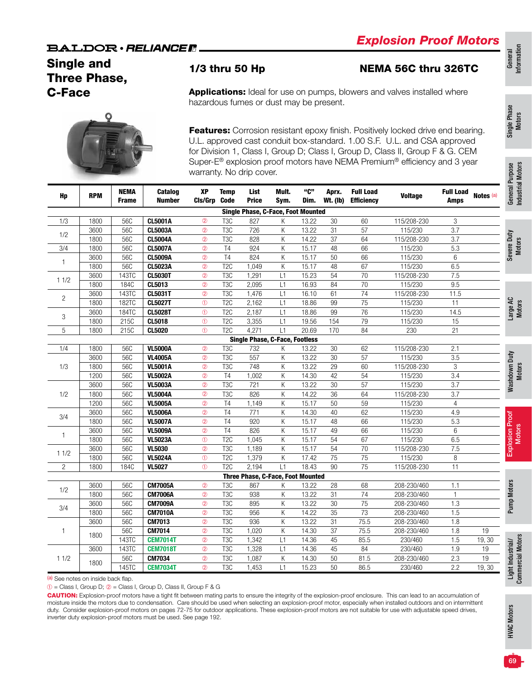## Single and Three Phase, C-Face



1/3 thru 50 Hp NEMA 56C thru 326TC

Applications: Ideal for use on pumps, blowers and valves installed where hazardous fumes or dust may be present.

Features: Corrosion resistant epoxy finish. Positively locked drive end bearing. U.L. approved cast conduit box-standard. 1.00 S.F. U.L. and CSA approved for Division 1, Class I, Group D; Class I, Group D, Class II, Group F & G. CEM Super-E® explosion proof motors have NEMA Premium® efficiency and 3 year warranty. No drip cover.

| Hp             | <b>RPM</b> | <b>NEMA</b><br><b>Frame</b> | Catalog<br><b>Number</b> | XP<br>CIs/Grp  | <b>Temp</b><br><b>Code</b> | List<br><b>Price</b>                      | Mult.<br>Sym. | "C"<br>Dim. | Aprx.<br><b>Wt.</b> (lb) | <b>Full Load</b><br><b>Efficiency</b> | <b>Voltage</b> | <b>Full Load</b><br><b>Amps</b> | Notes <sup>(a)</sup> |
|----------------|------------|-----------------------------|--------------------------|----------------|----------------------------|-------------------------------------------|---------------|-------------|--------------------------|---------------------------------------|----------------|---------------------------------|----------------------|
|                |            |                             |                          |                |                            | <b>Single Phase, C-Face, Foot Mounted</b> |               |             |                          |                                       |                |                                 |                      |
| 1/3            | 1800       | 56C                         | <b>CL5001A</b>           | $^{\circ}$     | T <sub>3</sub> C           | 827                                       | Κ             | 13.22       | 30                       | 60                                    | 115/208-230    | 3                               |                      |
|                | 3600       | 56C                         | <b>CL5003A</b>           | $^{\circ}$     | T <sub>3</sub> C           | 726                                       | Κ             | 13.22       | 31                       | 57                                    | 115/230        | $\overline{3.7}$                |                      |
| 1/2            | 1800       | 56C                         | <b>CL5004A</b>           | $^{\circ}$     | T <sub>3</sub> C           | 828                                       | Κ             | 14.22       | 37                       | 64                                    | 115/208-230    | $\overline{3.7}$                |                      |
| 3/4            | 1800       | 56C                         | <b>CL5007A</b>           | $^{\circ}$     | T <sub>4</sub>             | 924                                       | Κ             | 15.17       | 48                       | 66                                    | 115/230        | 5.3                             |                      |
|                | 3600       | 56C                         | <b>CL5009A</b>           | $^{\circ}$     | $\overline{14}$            | 824                                       | Κ             | 15.17       | 50                       | 66                                    | 115/230        | $\,6\,$                         |                      |
| $\mathbf{1}$   | 1800       | 56C                         | <b>CL5023A</b>           | $^{\circ}$     | T <sub>2</sub> C           | 1,049                                     | Κ             | 15.17       | 48                       | 67                                    | 115/230        | 6.5                             |                      |
|                | 3600       | 143TC                       | <b>CL5030T</b>           | $^{\circ}$     | T <sub>3</sub> C           | 1,291                                     | L1            | 15.23       | 54                       | $\overline{70}$                       | 115/208-230    | 7.5                             |                      |
| 11/2           | 1800       | 184C                        | CL5013                   | $\circled{2}$  | T <sub>3</sub> C           | 2,095                                     | L1            | 16.93       | 84                       | 70                                    | 115/230        | 9.5                             |                      |
|                | 3600       | 143TC                       | <b>CL5031T</b>           | $^{\circ}$     | T <sub>3</sub> C           | 1,476                                     | L1            | 16.10       | 61                       | 74                                    | 115/208-230    | 11.5                            |                      |
| $\overline{c}$ | 1800       | 182TC                       | <b>CL5027T</b>           | $\circled{0}$  | T <sub>2</sub> C           | 2,162                                     | L1            | 18.86       | 99                       | $\overline{75}$                       | 115/230        | 11                              |                      |
|                | 3600       | 184TC                       | <b>CL5028T</b>           | $\circled{0}$  | T <sub>2</sub> C           | 2,187                                     | L1            | 18.86       | 99                       | 76                                    | 115/230        | 14.5                            |                      |
| 3              | 1800       | 215C                        | CL5018                   | $\circledcirc$ | T <sub>2</sub> C           | 3,355                                     | L1            | 19.56       | 154                      | $\overline{79}$                       | 115/230        | 15                              |                      |
| 5              | 1800       | 215C                        | CL5020                   | $\odot$        | T <sub>2C</sub>            | 4,271                                     | L1            | 20.69       | 170                      | 84                                    | 230            | $\overline{21}$                 |                      |
|                |            |                             |                          |                |                            | <b>Single Phase, C-Face, Footless</b>     |               |             |                          |                                       |                |                                 |                      |
| 1/4            | 1800       | 56C                         | <b>VL5000A</b>           | $^{\circ}$     | T <sub>3</sub> C           | 732                                       | Κ             | 13.22       | 30                       | 62                                    | 115/208-230    | 2.1                             |                      |
|                | 3600       | 56C                         | <b>VL4005A</b>           | $^{\circ}$     | T <sub>3</sub> C           | 557                                       | Κ             | 13.22       | 30                       | 57                                    | 115/230        | 3.5                             |                      |
| 1/3            | 1800       | <b>56C</b>                  | <b>VL5001A</b>           | $^{\circ}$     | T <sub>3</sub> C           | 748                                       | Κ             | 13.22       | 29                       | 60                                    | 115/208-230    | 3                               |                      |
|                | 1200       | 56C                         | <b>VL5002A</b>           | $^{\circ}$     | T4                         | 1,002                                     | Κ             | 14.30       | 42                       | 54                                    | 115/230        | $\overline{3.4}$                |                      |
|                | 3600       | 56C                         | <b>VL5003A</b>           | $^{\circ}$     | T <sub>3</sub> C           | 721                                       | Κ             | 13.22       | 30                       | 57                                    | 115/230        | $\overline{3.7}$                |                      |
| 1/2            | 1800       | 56C                         | <b>VL5004A</b>           | $^{\circ}$     | T <sub>3</sub> C           | 826                                       | K             | 14.22       | $\overline{36}$          | 64                                    | 115/208-230    | 3.7                             |                      |
|                | 1200       | 56C                         | <b>VL5005A</b>           | $^{\circ}$     | T4                         | 1,149                                     | Κ             | 15.17       | 50                       | 59                                    | 115/230        | $\overline{4}$                  |                      |
| 3/4            | 3600       | 56C                         | <b>VL5006A</b>           | $^{\circ}$     | T4                         | 771                                       | Κ             | 14.30       | 40                       | 62                                    | 115/230        | 4.9                             |                      |
|                | 1800       | 56C                         | <b>VL5007A</b>           | $^{\circ}$     | $\overline{14}$            | 920                                       | Κ             | 15.17       | 48                       | 66                                    | 115/230        | 5.3                             |                      |
|                | 3600       | 56C                         | <b>VL5009A</b>           | $^{\circ}$     | T <sub>4</sub>             | 826                                       | K             | 15.17       | 49                       | 66                                    | 115/230        | 6                               |                      |
| 1              | 1800       | 56C                         | <b>VL5023A</b>           | $\circled{0}$  | T <sub>2</sub> C           | 1,045                                     | Κ             | 15.17       | 54                       | 67                                    | 115/230        | 6.5                             |                      |
|                | 3600       | 56C                         | <b>VL5030</b>            | $^{\circ}$     | T <sub>3</sub> C           | 1,189                                     | Κ             | 15.17       | 54                       | $\overline{70}$                       | 115/208-230    | 7.5                             |                      |
| 11/2           | 1800       | 56C                         | <b>VL5024A</b>           | $\circled{0}$  | T <sub>2</sub> C           | 1,379                                     | Κ             | 17.42       | 75                       | 75                                    | 115/230        | $\,8\,$                         |                      |
| $\mathbf{2}$   | 1800       | 184C                        | <b>VL5027</b>            | $\circled{0}$  | T <sub>2</sub> C           | 2,194                                     | L1            | 18.43       | 90                       | 75                                    | 115/208-230    | $\overline{11}$                 |                      |
|                |            |                             |                          |                |                            | Three Phase, C-Face, Foot Mounted         |               |             |                          |                                       |                |                                 |                      |
|                | 3600       | 56C                         | <b>CM7005A</b>           | $^{\circ}$     | T <sub>3</sub> C           | 867                                       | Κ             | 13.22       | 28                       | 68                                    | 208-230/460    | 1.1                             |                      |
| 1/2            | 1800       | 56C                         | <b>CM7006A</b>           | $^{\circ}$     | T <sub>3</sub> C           | 938                                       | Κ             | 13.22       | 31                       | $\overline{74}$                       | 208-230/460    | $\mathbf{1}$                    |                      |
|                | 3600       | 56C                         | <b>CM7009A</b>           | $^{\circ}$     | T <sub>3</sub> C           | 895                                       | Κ             | 13.22       | $\overline{30}$          | $\overline{75}$                       | 208-230/460    | 1.3                             |                      |
| 3/4            | 1800       | 56C                         | <b>CM7010A</b>           | $^{\circ}$     | T <sub>3</sub> C           | 956                                       | K             | 14.22       | 35                       | 73                                    | 208-230/460    | 1.5                             |                      |
|                | 3600       | 56C                         | CM7013                   | $^{\circ}$     | T <sub>3</sub> C           | 936                                       | Κ             | 13.22       | 31                       | 75.5                                  | 208-230/460    | 1.8                             |                      |
| -1             |            | 56C                         | CM7014                   | $^{\circ}$     | T <sub>3</sub> C           | 1,020                                     | Κ             | 14.30       | 37                       | 75.5                                  | 208-230/460    | 1.8                             | 19                   |
|                | 1800       | 143TC                       | <b>CEM7014T</b>          | $^{\circ}$     | T <sub>3</sub> C           | 1,342                                     | L1            | 14.36       | 45                       | 85.5                                  | 230/460        | 1.5                             | 19,30                |
|                | 3600       | 143TC                       | <b>CEM7018T</b>          | $^\circledR$   | T <sub>3</sub> C           | 1,328                                     | L1            | 14.36       | 45                       | 84                                    | 230/460        | 1.9                             | 19                   |
| 11/2           |            | 56C                         | CM7034                   | $^{\circ}$     | T <sub>3</sub> C           | 1,087                                     | Κ             | 14.30       | 50                       | 81.5                                  | 208-230/460    | 2.3                             | 19                   |
|                | 1800       | 145TC                       | <b>CEM7034T</b>          | $^{\circ}$     | T <sub>3</sub> C           | 1,453                                     | L1            | 15.23       | 50                       | 86.5                                  | 230/460        | 2.2                             | 19,30                |

➀ = Class I, Group D; ➁ = Class I, Group D, Class II, Group F & G

CAUTION: Explosion-proof motors have a tight fit between mating parts to ensure the integrity of the explosion-proof enclosure. This can lead to an accumulation of moisture inside the motors due to condensation. Care should be used when selecting an explosion-proof motor, especially when installed outdoors and on intermittent duty. Consider explosion-proof motors on pages 72-75 for outdoor applications. These explosion-proof motors are not suitable for use with adjustable speed drives, inverter duty explosion-proof motors must be used. See page 192.

urpose **Industrial Motors** Industrial Motors

Single Phase Single Phase<br>Motors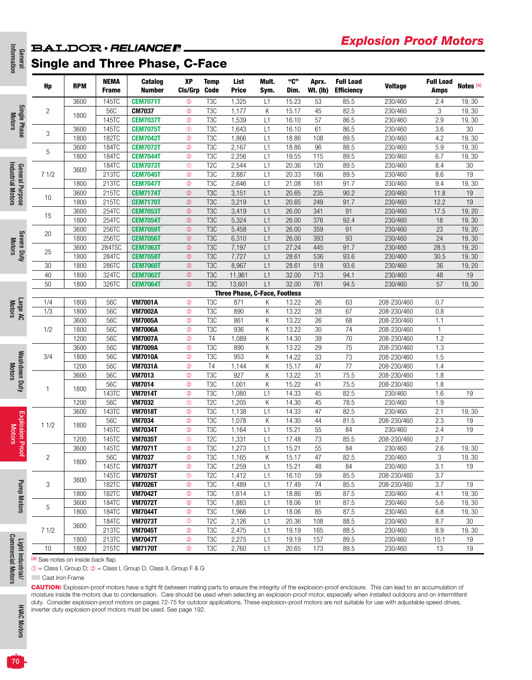# **BALDOR** · RELIANCER.

# General Single and Three Phase, C-Face

|                                      | Hp             | <b>RPM</b> | NEMA<br><b>Frame</b> | Catalog<br><b>Number</b> | XP<br>CIs/Grp  | <b>Temp</b><br><b>Code</b> | List<br><b>Price</b>                 | Mult.<br>Sym. | "C"<br>Dim. | Aprx.<br><b>Wt. (Ib)</b> | <b>Full Load</b><br><b>Efficiency</b> | <b>Voltage</b> | <b>Full Load</b><br><b>Amps</b> | Notes <sup>(a)</sup> |
|--------------------------------------|----------------|------------|----------------------|--------------------------|----------------|----------------------------|--------------------------------------|---------------|-------------|--------------------------|---------------------------------------|----------------|---------------------------------|----------------------|
|                                      |                | 3600       | 145TC                | <b>CEM7071T</b>          | $^{\circ}$     | T <sub>3</sub> C           | 1,325                                | L1            | 15.23       | 53                       | 85.5                                  | 230/460        | 2.4                             | 19,30                |
| Single Phase                         | $\overline{c}$ | 1800       | 56C                  | <b>CM7037</b>            | $^{\circ}$     | T <sub>3</sub> C           | 1,177                                | К             | 15.17       | 45                       | 82.5                                  | 230/460        | 3                               | 19,30                |
|                                      |                |            | 145TC                | <b>CEM7037T</b>          | $^{\circ}$     | T <sub>3</sub> C           | 1,539                                | L1            | 16.10       | 57                       | 86.5                                  | 230/460        | 2.9                             | 19,30                |
|                                      | 3              | 3600       | 145TC                | <b>CEM7075T</b>          | $\circledcirc$ | T <sub>3</sub> C           | 1,643                                | L1            | 16.10       | 61                       | 86.5                                  | 230/460        | 3.6                             | 30                   |
|                                      |                | 1800       | 182TC                | <b>CEM7042T</b>          | $^{\circ}$     | T <sub>3</sub> C           | 1,866                                | L1            | 18.86       | 108                      | 89.5                                  | 230/460        | 4.2                             | 19,30                |
|                                      | $\mathbf 5$    | 3600       | 184TC                | <b>CEM7072T</b>          | $^{\circ}$     | T <sub>3</sub> C           | 2,167                                | L1            | 18.86       | 96                       | 88.5                                  | 230/460        | 5.9                             | 19,30                |
|                                      |                | 1800       | 184TC                | <b>CEM7044T</b>          | $^{\circ}$     | T <sub>3</sub> C           | 2,256                                | L1            | 19.55       | 115                      | 89.5                                  | 230/460        | 6.7                             | 19,30                |
| General Purpose<br>Industrial Motors |                | 3600       | 184TC                | <b>CEM7073T</b>          | $\circledcirc$ | T <sub>2</sub> C           | 2,544                                | L1            | 20.36       | 120                      | 89.5                                  | 230/460        | 8.4                             | 30                   |
|                                      | 71/2           |            | 213TC                | <b>CEM7045T</b>          | $^{\circ}$     | T <sub>3</sub> C           | 2,887                                | L1            | 20.33       | 166                      | 89.5                                  | 230/460        | 8.6                             | 19                   |
|                                      |                | 1800       | 213TC                | <b>CEM7047T</b>          | $^{\circ}$     | T <sub>3</sub> C           | 2,646                                | L1            | 21.08       | 161                      | 91.7                                  | 230/460        | 9.4                             | 19,30                |
|                                      | 10             | 3600       | 215TC                | <b>CEM7174T</b>          | $^{\circledR}$ | T <sub>3</sub> C           | 3,151                                | L1            | 20.65       | 235                      | 90.2                                  | 230/460        | 11.8                            | 19                   |
|                                      |                | 1800       | 215TC                | <b>CEM7170T</b>          | $^{\circ}$     | T <sub>3</sub> C           | 3,219                                | L1            | 20.65       | 249                      | 91.7                                  | 230/460        | 12.2                            | 19                   |
|                                      | 15             | 3600       | 254TC                | <b>CEM7053T</b>          | $^{\circ}$     | T <sub>3</sub> C           | 3,419                                | L1            | 26.00       | 341                      | 91                                    | 230/460        | 17.5                            | 19, 20               |
|                                      |                | 1800       | 254TC                | <b>CEM7054T</b>          | $^{\circ}$     | T <sub>3</sub> C           | 5,324                                | L1            | 26.00       | 376                      | 92.4                                  | 230/460        | 18                              | 19, 30               |
|                                      | 20             | 3600       | 256TC                | <b>CEM7059T</b>          | $^{\circledR}$ | T <sub>3</sub> C           | 5,458                                | L1            | 26.00       | 359                      | 91                                    | 230/460        | 23                              | 19, 20               |
|                                      |                | 1800       | 256TC                | <b>CEM7056T</b>          | $^{\circ}$     | T <sub>3</sub> C           | 6,310                                | L1            | 26.00       | 393                      | 93                                    | 230/460        | 24                              | 19, 30               |
|                                      | 25             | 3600       | 284TSC               | <b>CEM7063T</b>          | $^{\circledR}$ | T <sub>3</sub> C           | 7,197                                | L1            | 27.24       | 445                      | 91.7                                  | 230/460        | 28.5                            | 19, 20               |
| Severe Duty                          |                | 1800       | 284TC                | <b>CEM7058T</b>          | $^{\circ}$     | T <sub>3</sub> C           | 7,727                                | L1            | 28.61       | 536                      | 93.6                                  | 230/460        | 30.5                            | 19,30                |
|                                      | 30             | 1800       | 286TC                | <b>CEM7060T</b>          | $^{\circledR}$ | T <sub>3</sub> C           | 8,967                                | L1            | 28.61       | 518                      | 93.6                                  | 230/460        | $36\,$                          | 19, 20               |
|                                      | 40             | 1800       | 324TC                | <b>CEM7062T</b>          | $^{\circ}$     | T <sub>3</sub> C           | 11,961                               | L1            | 32.00       | 713                      | 94.1                                  | 230/460        | 48                              | 19                   |
|                                      | 50             | 1800       | 326TC                | <b>CEM7064T</b>          | $^{\circ}$     | T <sub>3</sub> C           | 13,601                               | L1            | 32.00       | 761                      | 94.5                                  | 230/460        | 57                              | 19,30                |
|                                      |                |            |                      |                          |                |                            | <b>Three Phase, C-Face, Footless</b> |               |             |                          |                                       |                |                                 |                      |
|                                      | 1/4            | 1800       | 56C                  | <b>VM7001A</b>           | $^{\circ}$     | T <sub>3</sub> C           | 871                                  | Κ             | 13.22       | 26                       | 63                                    | 208-230/460    | 0.7                             |                      |
|                                      | 1/3            | 1800       | 56C                  | <b>VM7002A</b>           | $^{\circ}$     | T <sub>3</sub> C           | 890                                  | К             | 13.22       | 28                       | 67                                    | 208-230/460    | 0.8                             |                      |
|                                      |                | 3600       | 56C                  | <b>VM7005A</b>           | $^{\circ}$     | T <sub>3</sub> C           | 861                                  | К             | 13.22       | 26                       | 68                                    | 208-230/460    | 1.1                             |                      |
|                                      | 1/2            | 1800       | 56C                  | <b>VM7006A</b>           | $^{\circ}$     | T <sub>3</sub> C           | 936                                  | Κ             | 13.22       | 30                       | 74                                    | 208-230/460    | $\overline{1}$                  |                      |
|                                      |                | 1200       | 56C                  | <b>VM7007A</b>           | $^{\circ}$     | T <sub>4</sub>             | 1,089                                | К             | 14.30       | 39                       | 70                                    | 208-230/460    | 1.2                             |                      |
|                                      |                | 3600       | 56C                  | <b>VM7009A</b>           | $^{\circ}$     | T <sub>3</sub> C           | 890                                  | К             | 13.22       | 29                       | 75                                    | 208-230/460    | 1.3                             |                      |
|                                      | 3/4            | 1800       | 56C                  | <b>VM7010A</b>           | $^{\circ}$     | T <sub>3</sub> C           | 953                                  | К             | 14.22       | 33                       | 73                                    | 208-230/460    | 1.5                             |                      |
|                                      |                | 1200       | 56C                  | <b>VM7031A</b>           | $^{\circ}$     | T <sub>4</sub>             | 1,144                                | Κ             | 15.17       | 47                       | 77                                    | 208-230/460    | 1.4                             |                      |
|                                      |                | 3600       | 56C                  | <b>VM7013</b>            | $^{\circ}$     | T <sub>3</sub> C           | 927                                  | Κ             | 13.22       | 31                       | 75.5                                  | 208-230/460    | 1.8                             |                      |
|                                      | 1              | 1800       | 56C                  | <b>VM7014</b>            | $^{\circ}$     | T <sub>3</sub> C           | 1,001                                | Κ             | 15.22       | 41                       | 75.5                                  | 208-230/460    | 1.8                             |                      |
|                                      |                |            | 143TC                | <b>VM7014T</b>           | $^{\circ}$     | T <sub>3</sub> C           | 1,080                                | L1            | 14.33       | 45                       | 82.5                                  | 230/460        | 1.6                             | 19                   |
|                                      |                | 1200       | 56C                  | <b>VM7032</b>            | $\circledcirc$ | T <sub>2</sub> C           | 1,205                                | К             | 14.30       | 45                       | 78.5                                  | 230/460        | 1.9                             |                      |
|                                      |                | 3600       | 143TC                | <b>VM7018T</b>           | $^{\circ}$     | T <sub>3</sub> C           | 1,138                                | L1            | 14.33       | 47                       | 82.5                                  | 230/460        | 2.1                             | 19, 30               |
| <b>Explosion Proof</b><br>Motors     | 11/2           | 1800       | 56C                  | <b>VM7034</b>            | $^{\circ}$     | T <sub>3</sub> C           | 1,078                                | К             | 14.30       | 44                       | 81.5                                  | 208-230/460    | 2.3                             | 19                   |
|                                      |                |            | 145TC                | <b>VM7034T</b>           | $^{\circ}$     | T <sub>3</sub> C           | 1,164                                | L1            | 15.21       | 55                       | 84                                    | 230/460        | 2.4                             | 19                   |
|                                      |                | 1200       | 145TC                | <b>VM7035T</b>           | $^{\circ}$     | T2C                        | 1,331                                | L1            | 17.48       | 73                       | 85.5                                  | 208-230/460    | 2.7                             |                      |
|                                      |                | 3600       | 145TC                | <b>VM7071T</b>           | $^{\circ}$     | T <sub>3</sub> C           | 1,273                                | L1            | 15.21       | 55                       | 84                                    | 230/460        | 2.6                             | 19, 30               |
|                                      | $\overline{c}$ |            | 56C                  | <b>VM7037</b>            | $^{\circledR}$ | T <sub>3</sub> C           | 1,165                                | Κ             | 15.17       | 47                       | 82.5                                  | 230/460        | 3                               | 19, 30               |
|                                      |                | 1800       | 145TC                | <b>VM7037T</b>           | $^{\circ}$     | T <sub>3</sub> C           | 1,259                                | L1            | 15.21       | 48                       | 84                                    | 230/460        | 3.1                             | 19                   |
|                                      |                | 3600       | 145TC                | <b>VM7075T</b>           | $\circledcirc$ | T <sub>2</sub> C           | 1,412                                | L1            | 16.10       | 59                       | 85.5                                  | 208-230/460    | 3.7                             |                      |
|                                      | 3              |            | 182TC                | <b>VM7026T</b>           | $^{\circledR}$ | T <sub>3</sub> C           | 1,489                                | L1            | 17.49       | 74                       | 85.5                                  | 208-230/460    | 3.7                             | 19                   |
|                                      |                | 1800       | 182TC                | <b>VM7042T</b>           | $^{\circledR}$ | T <sub>3</sub> C           | 1,614                                | L1            | 18.86       | 95                       | 87.5                                  | 230/460        | 4.1                             | 19,30                |
|                                      |                | 3600       | 184TC                | <b>VM7072T</b>           | $^\circledR$   | T <sub>3</sub> C           | 1,883                                | L1            | 18.06       | 91                       | 87.5                                  | 230/460        | 5.6                             | 19, 30               |
|                                      | 5              | 1800       | 184TC                | <b>VM7044T</b>           | $^\circledR$   | T <sub>3</sub> C           | 1,966                                | L1            | 18.06       | 85                       | 87.5                                  | 230/460        | 6.8                             | 19, 30               |
|                                      |                |            | 184TC                | <b>VM7073T</b>           | $\circledcirc$ | T <sub>2</sub> C           | 2,126                                | L1            | 20.36       | 108                      | 88.5                                  | 230/460        | 8.7                             | 30                   |
|                                      | 71/2           | 3600       | 213TC                | <b>VM7045T</b>           | $^{\circledR}$ | T <sub>3</sub> C           | 2,475                                | L1            | 19.19       | 165                      | 88.5                                  | 230/460        | 8.9                             | 19, 30               |
|                                      |                | 1800       | 213TC                | <b>VM7047T</b>           | $^{\circledR}$ | T <sub>3</sub> C           | 2,275                                | L1            | 19.19       | 157                      | 89.5                                  | 230/460        | 10.1                            | 19                   |
|                                      | 10             | 1800       | 215TC                | <b>VM7170T</b>           | $^{\circ}$     | T <sub>3</sub> C           | 2,760                                | L1            | 20.65       | 173                      | 89.5                                  | 230/460        | 13                              | 19                   |

Caution: Explosion-proof motors have a tight fit between mating parts to ensure the integrity of the explosion-proof enclosure. This can lead to an accumulation of moisture inside the motors due to condensation. Care should be used when selecting an explosion-proof motor, especially when installed outdoors and on intermittent duty. Consider explosion-proof motors on pages 72-75 for outdoor applications. These explosion-proof motors are not suitable for use with adjustable speed drives, inverter duty explosion-proof motors must be used. See page 192.

 $70^{\circ}$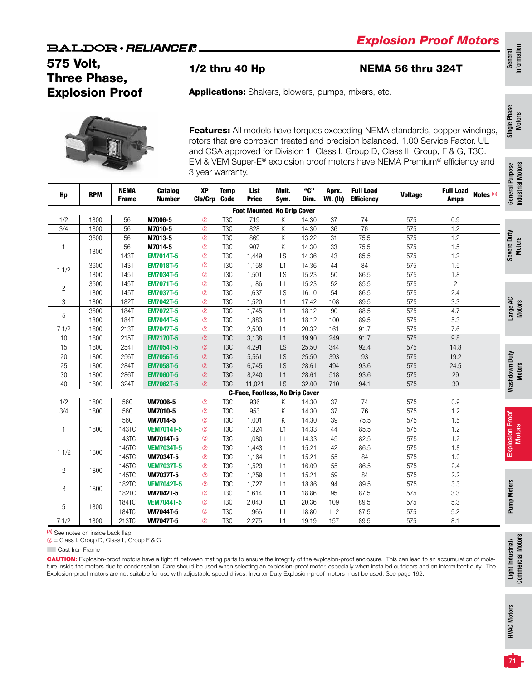## 575 Volt, Three Phase, Explosion Proof

1/2 thru 40 Hp NEMA 56 thru 324T

General<br>Information Information

Single Phase Single Phase<br>Motors

Applications: Shakers, blowers, pumps, mixers, etc.

Features: All models have torques exceeding NEMA standards, copper windings, rotors that are corrosion treated and precision balanced. 1.00 Service Factor. UL and CSA approved for Division 1, Class I, Group D, Class II, Group, F & G, T3C. EM & VEM Super-E® explosion proof motors have NEMA Premium® efficiency and 3 year warranty.

| Hp             | <b>RPM</b> | <b>NEMA</b><br><b>Frame</b> | Catalog<br><b>Number</b> | XP<br>Cls/Grp Code | <b>Temp</b>      | List<br><b>Price</b>                   | Mult.<br>Sym. | "C"<br>Dim. | Aprx.<br><b>Wt. (Ib)</b> | <b>Full Load</b><br><b>Efficiency</b> | <b>Voltage</b> | <b>Full Load</b><br>Notes (a)<br><b>Amps</b> |
|----------------|------------|-----------------------------|--------------------------|--------------------|------------------|----------------------------------------|---------------|-------------|--------------------------|---------------------------------------|----------------|----------------------------------------------|
|                |            |                             |                          |                    |                  | <b>Foot Mounted, No Drip Cover</b>     |               |             |                          |                                       |                |                                              |
| 1/2            | 1800       | 56                          | M7006-5                  | $^{\circ}$         | T <sub>3</sub> C | 719                                    | Κ             | 14.30       | 37                       | 74                                    | 575            | 0.9                                          |
| 3/4            | 1800       | 56                          | M7010-5                  | $^{\circ}$         | T <sub>3</sub> C | 828                                    | K             | 14.30       | 36                       | 76                                    | 575            | 1.2                                          |
|                | 3600       | 56                          | M7013-5                  | $^{\circ}$         | T <sub>3</sub> C | 869                                    | Κ             | 13.22       | 31                       | 75.5                                  | 575            | 1.2                                          |
| $\mathbf{1}$   | 1800       | 56                          | M7014-5                  | $\circled{2}$      | T <sub>3</sub> C | 907                                    | K             | 14.30       | 33                       | 75.5                                  | 575            | 1.5                                          |
|                |            | 143T                        | <b>EM7014T-5</b>         | $^{\circ}$         | T <sub>3</sub> C | 1,449                                  | LS            | 14.36       | 43                       | 85.5                                  | 575            | 1.2                                          |
| 11/2           | 3600       | 143T                        | <b>EM7018T-5</b>         | $^{\circ}$         | T <sub>3</sub> C | 1,158                                  | L1            | 14.36       | 44                       | 84                                    | 575            | 1.5                                          |
|                | 1800       | 145T                        | <b>EM7034T-5</b>         | $^{\circ}$         | T <sub>3</sub> C | 1,501                                  | LS            | 15.23       | 50                       | 86.5                                  | 575            | 1.8                                          |
| $\overline{2}$ | 3600       | 145T                        | <b>EM7071T-5</b>         | $^{\circ}$         | T <sub>3</sub> C | 1,186                                  | L1            | 15.23       | 52                       | 85.5                                  | 575            | $\overline{2}$                               |
|                | 1800       | 145T                        | <b>EM7037T-5</b>         | $^{\circ}$         | T <sub>3</sub> C | 1,637                                  | LS            | 16.10       | 54                       | 86.5                                  | 575            | 2.4                                          |
| 3              | 1800       | 182T                        | <b>EM7042T-5</b>         | $^{\circ}$         | T <sub>3</sub> C | 1,520                                  | L1            | 17.42       | 108                      | 89.5                                  | 575            | 3.3                                          |
| 5              | 3600       | 184T                        | <b>EM7072T-5</b>         | $^{\circ}$         | T <sub>3</sub> C | 1,745                                  | L1            | 18.12       | 90                       | 88.5                                  | 575            | 4.7                                          |
|                | 1800       | 184T                        | <b>EM7044T-5</b>         | $^{\circ}$         | T <sub>3</sub> C | 1,883                                  | L1            | 18.12       | 100                      | 89.5                                  | 575            | 5.3                                          |
| 71/2           | 1800       | 213T                        | <b>EM7047T-5</b>         | $^{\circ}$         | T <sub>3</sub> C | 2,500                                  | L1            | 20.32       | 161                      | 91.7                                  | 575            | 7.6                                          |
| 10             | 1800       | 215T                        | <b>EM7170T-5</b>         | $^{\circ}$         | T <sub>3</sub> C | 3,138                                  | L1            | 19.90       | 249                      | 91.7                                  | 575            | 9.8                                          |
| 15             | 1800       | 254T                        | <b>EM7054T-5</b>         | $^{\circ}$         | T <sub>3</sub> C | 4,291                                  | LS            | 25.50       | 344                      | 92.4                                  | 575            | 14.8                                         |
| 20             | 1800       | 256T                        | <b>EM7056T-5</b>         | $^{\circ}$         | T <sub>3</sub> C | 5,561                                  | LS            | 25.50       | 393                      | 93                                    | 575            | 19.2                                         |
| 25             | 1800       | 284T                        | <b>EM7058T-5</b>         | $^{\circledR}$     | T <sub>3</sub> C | 6,745                                  | LS            | 28.61       | 494                      | 93.6                                  | 575            | 24.5                                         |
| $30\,$         | 1800       | 286T                        | <b>EM7060T-5</b>         | $^{\circ}$         | T <sub>3</sub> C | 8,240                                  | L1            | 28.61       | 518                      | 93.6                                  | 575            | 29                                           |
| 40             | 1800       | 324T                        | <b>EM7062T-5</b>         | $^{\circ}$         | T <sub>3</sub> C | 11,021                                 | <b>LS</b>     | 32.00       | 710                      | 94.1                                  | 575            | 39                                           |
|                |            |                             |                          |                    |                  | <b>C-Face, Footless, No Drip Cover</b> |               |             |                          |                                       |                |                                              |
| 1/2            | 1800       | 56C                         | VM7006-5                 | $^{\circ}$         | T <sub>3</sub> C | 936                                    | Κ             | 14.30       | 37                       | 74                                    | 575            | 0.9                                          |
| 3/4            | 1800       | 56C                         | VM7010-5                 | $^{\circ}$         | T <sub>3</sub> C | 953                                    | Κ             | 14.30       | 37                       | $\overline{76}$                       | 575            | 1.2                                          |
|                |            | 56C                         | VM7014-5                 | $^{\circ}$         | T <sub>3</sub> C | 1,001                                  | K             | 14.30       | 39                       | 75.5                                  | 575            | 1.5                                          |
| $\mathbf{1}$   | 1800       | 143TC                       | <b>VEM7014T-5</b>        | $^{\circ}$         | T <sub>3</sub> C | 1,324                                  | L1            | 14.33       | 44                       | 85.5                                  | 575            | 1.2                                          |
|                |            | 143TC                       | VM7014T-5                | $^{\circ}$         | $\overline{TSC}$ | 1,080                                  | L1            | 14.33       | 45                       | 82.5                                  | 575            | 1.2                                          |
| 11/2           | 1800       | 145TC                       | <b>VEM7034T-5</b>        | $\circled{2}$      | T3C              | 1,443                                  | L1            | 15.21       | 42                       | 86.5                                  | 575            | 1.8                                          |
|                |            | 145TC                       | VM7034T-5                | $\circled{2}$      | T <sub>3</sub> C | 1,164                                  | L1            | 15.21       | 55                       | 84                                    | 575            | 1.9                                          |
|                | 1800       | 145TC                       | <b>VEM7037T-5</b>        | $^{\circ}$         | T <sub>3</sub> C | 1,529                                  | L1            | 16.09       | 55                       | 86.5                                  | 575            | 2.4                                          |
| $\overline{c}$ |            | 145TC                       | VM7037T-5                | $^{\circ}$         | $\overline{T3C}$ | 1,259                                  | L1            | 15.21       | 59                       | 84                                    | 575            | 2.2                                          |
|                |            | 182TC                       | <b>VEM7042T-5</b>        | $^{\circ}$         | T <sub>3</sub> C | 1,727                                  | L1            | 18.86       | 94                       | 89.5                                  | 575            | 3.3                                          |
| 3              | 1800       | 182TC                       | VM7042T-5                | $^{\circ}$         | T <sub>3</sub> C | 1,614                                  | L1            | 18.86       | 95                       | 87.5                                  | 575            | 3.3                                          |
|                |            | 184TC                       | <b>VEM7044T-5</b>        | $^{\circ}$         | T <sub>3</sub> C | 2,040                                  | L1            | 20.36       | 109                      | 89.5                                  | 575            | $\overline{5.3}$                             |
| 5              | 1800       | 184TC                       | <b>VM7044T-5</b>         | $^{\circ}$         | T <sub>3</sub> C | 1,966                                  | L1            | 18.80       | 112                      | 87.5                                  | 575            | 5.2                                          |
| 71/2           | 1800       | 213TC                       | <b>VM7047T-5</b>         | $\circled{2}$      | T <sub>3</sub> C | 2,275                                  | L1            | 19.19       | 157                      | 89.5                                  | 575            | 8.1                                          |

(a) See notes on inside back flap.

➁ = Class I, Group D, Class II, Group F & G

**Cast Iron Frame** 

CAUTION: Explosion-proof motors have a tight fit between mating parts to ensure the integrity of the explosion-proof enclosure. This can lead to an accumulation of moisture inside the motors due to condensation. Care should be used when selecting an explosion-proof motor, especially when installed outdoors and on intermittent duty. The Explosion-proof motors are not suitable for use with adjustable speed drives. Inverter Duty Explosion-proof motors must be used. See page 192.

Light Industrial/ Commercial Motors

Light Industrial/<br>Commercial Motors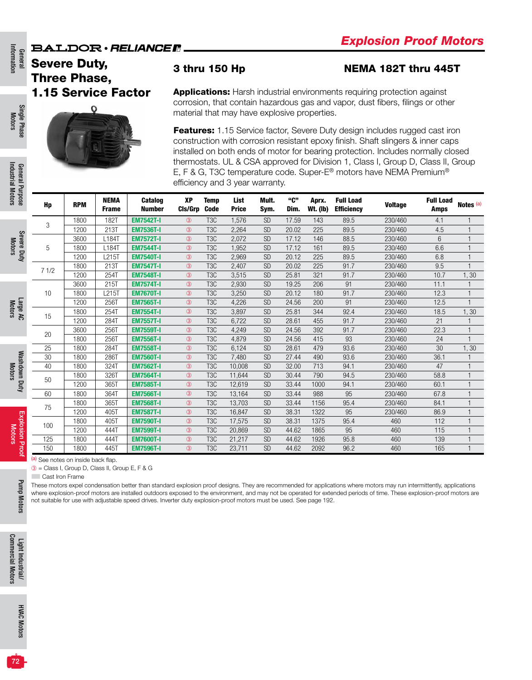Information Information General

Single Phase Motors

Single Phase

## Severe Duty, Three Phase, 1.15 Service Factor

O

#### 3 thru 150 Hp NEMA 182T thru 445T

Applications: Harsh industrial environments requiring protection against corrosion, that contain hazardous gas and vapor, dust fibers, filings or other material that may have explosive properties.

Features: 1.15 Service factor, Severe Duty design includes rugged cast iron construction with corrosion resistant epoxy finish. Shaft slingers & inner caps installed on both ends of motor for bearing protection. Includes normally closed thermostats. UL & CSA approved for Division 1, Class I, Group D, Class II, Group E, F & G, T3C temperature code. Super-E® motors have NEMA Premium® efficiency and 3 year warranty.

| Hp   | <b>RPM</b> | <b>NEMA</b><br><b>Frame</b> | <b>Catalog</b><br><b>Number</b> | <b>XP</b><br><b>CIs/Grp</b> | <b>Temp</b><br><b>Code</b> | <b>List</b><br><b>Price</b> | Mult.<br>Sym. | "C"<br>Dim. | Aprx.<br><b>Wt. (Ib)</b> | <b>Full Load</b><br><b>Efficiency</b> | <b>Voltage</b> | <b>Full Load</b><br><b>Amps</b> | Notes (a)      |
|------|------------|-----------------------------|---------------------------------|-----------------------------|----------------------------|-----------------------------|---------------|-------------|--------------------------|---------------------------------------|----------------|---------------------------------|----------------|
| 3    | 1800       | 182T                        | <b>EM7542T-I</b>                | $\circled{3}$               | T <sub>3</sub> C           | 1,576                       | <b>SD</b>     | 17.59       | 143                      | 89.5                                  | 230/460        | 4.1                             |                |
|      | 1200       | 213T                        | <b>EM7536T-I</b>                | $\circled{3}$               | T <sub>3</sub> C           | 2,264                       | <b>SD</b>     | 20.02       | 225                      | 89.5                                  | 230/460        | 4.5                             | $\mathbf{1}$   |
|      | 3600       | L184T                       | <b>EM7572T-I</b>                | $\circled{3}$               | T <sub>3</sub> C           | 2,072                       | <b>SD</b>     | 17.12       | 146                      | 88.5                                  | 230/460        | 6                               |                |
| 5    | 1800       | L184T                       | <b>EM7544T-I</b>                | $\circled{3}$               | T <sub>3</sub> C           | 1,952                       | <b>SD</b>     | 17.12       | 161                      | 89.5                                  | 230/460        | 6.6                             |                |
|      | 1200       | L215T                       | <b>EM7540T-I</b>                | $\circled{3}$               | T <sub>3</sub> C           | 2,969                       | <b>SD</b>     | 20.12       | 225                      | 89.5                                  | 230/460        | 6.8                             | $\mathbf{1}$   |
| 71/2 | 1800       | 213T                        | <b>EM7547T-I</b>                | $\circled{3}$               | T <sub>3</sub> C           | 2,407                       | <b>SD</b>     | 20.02       | 225                      | 91.7                                  | 230/460        | 9.5                             | $\overline{1}$ |
|      | 1200       | 254T                        | <b>EM7548T-I</b>                | $\circled{3}$               | T <sub>3</sub> C           | 3,515                       | <b>SD</b>     | 25.81       | 321                      | 91.7                                  | 230/460        | 10.7                            | 1,30           |
|      | 3600       | 215T                        | <b>EM7574T-I</b>                | $\circled{3}$               | T <sub>3</sub> C           | 2,930                       | <b>SD</b>     | 19.25       | 206                      | 91                                    | 230/460        | 11.1                            |                |
| 10   | 1800       | L215T                       | <b>EM7670T-I</b>                | $\circled{3}$               | T <sub>3</sub> C           | 3,250                       | <b>SD</b>     | 20.12       | 180                      | 91.7                                  | 230/460        | 12.3                            | $\mathbf{1}$   |
|      | 1200       | 256T                        | <b>EM7565T-I</b>                | $\circled{3}$               | T <sub>3</sub> C           | 4,226                       | <b>SD</b>     | 24.56       | 200                      | 91                                    | 230/460        | 12.5                            | $\mathbf{1}$   |
| 15   | 1800       | 254T                        | <b>EM7554T-I</b>                | $\circled{3}$               | T <sub>3</sub> C           | 3,897                       | <b>SD</b>     | 25.81       | 344                      | 92.4                                  | 230/460        | 18.5                            | 1,30           |
|      | 1200       | 284T                        | <b>EM7557T-I</b>                | $\circled{3}$               | T <sub>3</sub> C           | 6.722                       | <b>SD</b>     | 28.61       | 455                      | 91.7                                  | 230/460        | 21                              |                |
| 20   | 3600       | 256T                        | <b>EM7559T-I</b>                | $\circled{3}$               | T <sub>3</sub> C           | 4,249                       | <b>SD</b>     | 24.56       | 392                      | 91.7                                  | 230/460        | 22.3                            | $\overline{1}$ |
|      | 1800       | 256T                        | <b>EM7556T-I</b>                | $\circled{3}$               | T <sub>3</sub> C           | 4,879                       | <b>SD</b>     | 24.56       | 415                      | 93                                    | 230/460        | 24                              |                |
| 25   | 1800       | 284T                        | <b>EM7558T-I</b>                | $\circled{3}$               | T <sub>3</sub> C           | 6,124                       | <b>SD</b>     | 28.61       | 479                      | 93.6                                  | 230/460        | 30                              | 1, 30          |
| 30   | 1800       | 286T                        | <b>EM7560T-I</b>                | $\circled{3}$               | T <sub>3</sub> C           | 7,480                       | <b>SD</b>     | 27.44       | 490                      | 93.6                                  | 230/460        | 36.1                            |                |
| 40   | 1800       | 324T                        | <b>EM7562T-I</b>                | $\circled{3}$               | T <sub>3</sub> C           | 10.008                      | <b>SD</b>     | 32.00       | 713                      | 94.1                                  | 230/460        | 47                              |                |
| 50   | 1800       | 326T                        | <b>EM7564T-I</b>                | (3)                         | T <sub>3</sub> C           | 11.644                      | <b>SD</b>     | 30.44       | 790                      | 94.5                                  | 230/460        | 58.8                            | $\overline{1}$ |
|      | 1200       | 365T                        | <b>EM7585T-I</b>                | $\circled{3}$               | T <sub>3</sub> C           | 12,619                      | <b>SD</b>     | 33.44       | 1000                     | 94.1                                  | 230/460        | 60.1                            | $\mathbf{1}$   |
| 60   | 1800       | 364T                        | <b>EM7566T-I</b>                | $\circled{3}$               | T <sub>3</sub> C           | 13,164                      | <b>SD</b>     | 33.44       | 988                      | 95                                    | 230/460        | 67.8                            | $\mathbf{1}$   |
| 75   | 1800       | 365T                        | <b>EM7568T-I</b>                | $\circled{3}$               | T <sub>3</sub> C           | 13,703                      | <b>SD</b>     | 33.44       | 1156                     | 95.4                                  | 230/460        | 84.1                            |                |
|      | 1200       | 405T                        | <b>EM7587T-I</b>                | $\circled{3}$               | T <sub>3</sub> C           | 16,847                      | <b>SD</b>     | 38.31       | 1322                     | 95                                    | 230/460        | 86.9                            | $\overline{1}$ |
| 100  | 1800       | 405T                        | <b>EM7590T-I</b>                | $\circled{3}$               | T <sub>3</sub> C           | 17,575                      | <b>SD</b>     | 38.31       | 1375                     | 95.4                                  | 460            | 112                             | $\overline{1}$ |
|      | 1200       | 444T                        | <b>EM7599T-I</b>                | $\circled{3}$               | T <sub>3</sub> C           | 20,869                      | <b>SD</b>     | 44.62       | 1865                     | 95                                    | 460            | 115                             | $\overline{1}$ |
| 125  | 1800       | 444T                        | <b>EM7600T-I</b>                | $\circled{3}$               | T <sub>3</sub> C           | 21,217                      | <b>SD</b>     | 44.62       | 1926                     | 95.8                                  | 460            | 139                             | $\mathbf{1}$   |
| 150  | 1800       | 445T                        | <b>EM7596T-I</b>                | $\circled{3}$               | T <sub>3</sub> C           | 23,711                      | <b>SD</b>     | 44.62       | 2092                     | 96.2                                  | 460            | 165                             | $\overline{1}$ |

(a) See notes on inside back flap.

➂ = Class I, Group D, Class II, Group E, F & G

**Cast Iron Frame** 

These motors expel condensation better than standard explosion proof designs. They are recommended for applications where motors may run intermittently, applications where explosion-proof motors are installed outdoors exposed to the environment, and may not be operated for extended periods of time. These explosion-proof motors are not suitable for use with adjustable speed drives. Inverter duty explosion-proof motors must be used. See page 192.

Severe Duty Motors

Large AC Motors

Washdown Duty Motors

Washdown Duty

Explosion Proof Motors

Proof

Explosion

Pump Motors

Pump Motors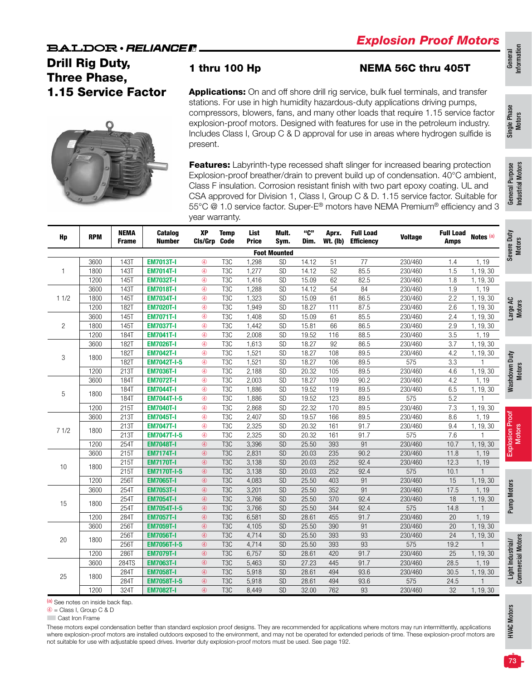## **BALDOR** · RELIANCE R Drill Rig Duty, Three Phase,

1.15 Service Factor



### 1 thru 100 Hp NEMA 56C thru 405T

Applications: On and off shore drill rig service, bulk fuel terminals, and transfer stations. For use in high humidity hazardous-duty applications driving pumps, compressors, blowers, fans, and many other loads that require 1.15 service factor explosion-proof motors. Designed with features for use in the petroleum industry. Includes Class I, Group C & D approval for use in areas where hydrogen sulfide is present.

**Features:** Labyrinth-type recessed shaft slinger for increased bearing protection Explosion-proof breather/drain to prevent build up of condensation. 40°C ambient, Class F insulation. Corrosion resistant finish with two part epoxy coating. UL and CSA approved for Division 1, Class I, Group C & D. 1.15 service factor. Suitable for 55°C @ 1.0 service factor. Super-E® motors have NEMA Premium® efficiency and 3 year warranty.

| Hp             | <b>RPM</b> | <b>NEMA</b><br><b>Frame</b> | Catalog<br><b>Number</b> | XP<br>Cls/Grp | <b>Temp</b><br><b>Code</b> | List<br><b>Price</b> | Mult.<br>Sym.       | "C"<br>Dim. | Aprx.<br><b>Wt. (Ib)</b> | <b>Full Load</b><br><b>Efficiency</b> | <b>Voltage</b> | <b>Full Load</b><br><b>Amps</b> | Notes (a)      |
|----------------|------------|-----------------------------|--------------------------|---------------|----------------------------|----------------------|---------------------|-------------|--------------------------|---------------------------------------|----------------|---------------------------------|----------------|
|                |            |                             |                          |               |                            |                      | <b>Foot Mounted</b> |             |                          |                                       |                |                                 |                |
|                | 3600       | <b>143T</b>                 | <b>EM7013T-I</b>         | $\circled{4}$ | T <sub>3</sub> C           | 1,298                | <b>SD</b>           | 14.12       | 51                       | 77                                    | 230/460        | 1.4                             | 1, 19          |
| $\mathbf{1}$   | 1800       | <b>143T</b>                 | <b>EM7014T-I</b>         | $\circledA$   | T <sub>3</sub> C           | 1,277                | SD                  | 14.12       | 52                       | 85.5                                  | 230/460        | 1.5                             | 1, 19, 30      |
|                | 1200       | <b>145T</b>                 | <b>EM7032T-I</b>         | $\circled{4}$ | T <sub>3</sub> C           | 1,416                | SD                  | 15.09       | 62                       | 82.5                                  | 230/460        | 1.8                             | 1, 19, 30      |
|                | 3600       | <b>143T</b>                 | <b>EM7018T-I</b>         | $\circledA$   | T <sub>3</sub> C           | 1,288                | SD                  | 14.12       | 54                       | 84                                    | 230/460        | 1.9                             | 1, 19          |
| 11/2           | 1800       | <b>145T</b>                 | <b>EM7034T-I</b>         | $\circled{4}$ | T <sub>3</sub> C           | 1,323                | <b>SD</b>           | 15.09       | 61                       | 86.5                                  | 230/460        | 2.2                             | 1, 19, 30      |
|                | 1200       | <b>182T</b>                 | <b>EM7020T-I</b>         | $\circledA$   | T <sub>3</sub> C           | 1,949                | <b>SD</b>           | 18.27       | 111                      | 87.5                                  | 230/460        | 2.6                             | 1, 19, 30      |
|                | 3600       | 145T                        | <b>EM7071T-I</b>         | $\circled{4}$ | T <sub>3</sub> C           | 1,408                | SD                  | 15.09       | 61                       | 85.5                                  | 230/460        | 2.4                             | 1, 19, 30      |
| $\overline{2}$ | 1800       | <b>145T</b>                 | <b>EM7037T-I</b>         | $\circled{4}$ | T <sub>3</sub> C           | 1,442                | SD                  | 15.81       | 66                       | 86.5                                  | 230/460        | 2.9                             | 1, 19, 30      |
|                | 1200       | <b>184T</b>                 | <b>EM7041T-I</b>         | $\circled{4}$ | T <sub>3</sub> C           | 2,008                | SD                  | 19.52       | 116                      | 88.5                                  | 230/460        | 3.5                             | 1, 19          |
|                | 3600       | <b>182T</b>                 | <b>EM7026T-I</b>         | $\circled{4}$ | T <sub>3</sub> C           | 1,613                | <b>SD</b>           | 18.27       | 92                       | 86.5                                  | 230/460        | 3.7                             | 1, 19, 30      |
|                | 1800       | <b>182T</b>                 | <b>EM7042T-I</b>         | $\circledA$   | T <sub>3</sub> C           | 1,521                | SD                  | 18.27       | 108                      | 89.5                                  | 230/460        | 4.2                             | 1, 19, 30      |
| 3              |            | 182T                        | <b>EM7042T-I-5</b>       | $\circled{4}$ | T <sub>3</sub> C           | 1,521                | <b>SD</b>           | 18.27       | 106                      | 89.5                                  | 575            | 3.3                             |                |
|                | 1200       | 213T                        | <b>EM7036T-I</b>         | $\circledA$   | T <sub>3</sub> C           | 2,188                | <b>SD</b>           | 20.32       | 105                      | 89.5                                  | 230/460        | 4.6                             | 1, 19, 30      |
|                | 3600       | 184T                        | <b>EM7072T-I</b>         | $\circled{4}$ | T <sub>3</sub> C           | 2,003                | SD                  | 18.27       | 109                      | 90.2                                  | 230/460        | 4.2                             | 1, 19          |
|                |            | <b>184T</b>                 | <b>EM7044T-I</b>         | $\circled{4}$ | T <sub>3</sub> C           | 1,886                | <b>SD</b>           | 19.52       | 119                      | 89.5                                  | 230/460        | 6.5                             | 1, 19, 30      |
| 5              | 1800       | 184T                        | <b>EM7044T-I-5</b>       | $\circled{4}$ | T <sub>3</sub> C           | 1,886                | <b>SD</b>           | 19.52       | 123                      | 89.5                                  | 575            | 5.2                             |                |
|                | 1200       | 215T                        | <b>EM7040T-I</b>         | $\circled{4}$ | T <sub>3</sub> C           | 2,868                | SD                  | 22.32       | 170                      | 89.5                                  | 230/460        | 7.3                             | 1, 19, 30      |
|                | 3600       | 213T                        | <b>EM7045T-I</b>         | $\circledA$   | T <sub>3</sub> C           | 2,407                | SD                  | 19.57       | 166                      | 89.5                                  | 230/460        | 8.6                             | 1,19           |
|                |            | 213T                        | <b>EM7047T-I</b>         | $\circledA$   | T <sub>3</sub> C           | 2,325                | <b>SD</b>           | 20.32       | 161                      | 91.7                                  | 230/460        | 9.4                             | 1, 19, 30      |
| 71/2           | 1800       | <b>213T</b>                 | <b>EM7047T-I-5</b>       | $\circled{4}$ | T <sub>3</sub> C           | 2,325                | SD                  | 20.32       | 161                      | 91.7                                  | 575            | 7.6                             | -1             |
|                | 1200       | 254T                        | <b>EM7048T-I</b>         | $\circled{4}$ | T <sub>3</sub> C           | 3,396                | <b>SD</b>           | 25.50       | 393                      | 91                                    | 230/460        | 10.7                            | 1, 19, 30      |
|                | 3600       | 215T                        | <b>EM7174T-I</b>         | $\circled{4}$ | T <sub>3</sub> C           | 2,831                | SD                  | 20.03       | 235                      | 90.2                                  | 230/460        | 11.8                            | 1,19           |
|                |            | $215\overline{1}$           | <b>EM7170T-I</b>         | $\circled{4}$ | T <sub>3</sub> C           | 3,138                | SD                  | 20.03       | 252                      | 92.4                                  | 230/460        | 12.3                            | 1, 19          |
| 10             | 1800       | 215T                        | <b>EM7170T-I-5</b>       | $\circled{4}$ | T <sub>3</sub> C           | 3,138                | SD                  | 20.03       | 252                      | 92.4                                  | 575            | 10.1                            | $\mathbf{1}$   |
|                | 1200       | 256T                        | <b>EM7065T-I</b>         | $\circled{4}$ | T <sub>3</sub> C           | 4,083                | <b>SD</b>           | 25.50       | 403                      | 91                                    | 230/460        | 15                              | 1, 19, 30      |
|                | 3600       | 254T                        | <b>EM7053T-I</b>         | $\circled{4}$ | T <sub>3</sub> C           | 3,201                | <b>SD</b>           | 25.50       | 352                      | 91                                    | 230/460        | 17.5                            | 1,19           |
|                |            | 254T                        | <b>EM7054T-I</b>         | $\circled{4}$ | T <sub>3</sub> C           | 3,766                | SD                  | 25.50       | 370                      | 92.4                                  | 230/460        | 18                              | 1, 19, 30      |
| 15             | 1800       | 254T                        | EM7054T-I-5              | $\circled{4}$ | T <sub>3</sub> C           | 3,766                | <b>SD</b>           | 25.50       | 344                      | 92.4                                  | 575            | 14.8                            | $\overline{1}$ |
|                | 1200       | 284T                        | <b>EM7057T-I</b>         | $\circledA$   | T <sub>3</sub> C           | 6.581                | <b>SD</b>           | 28.61       | 455                      | 91.7                                  | 230/460        | 20                              | 1, 19          |
|                | 3600       | 256T                        | <b>EM7059T-I</b>         | $\circled{4}$ | T <sub>3</sub> C           | 4,105                | <b>SD</b>           | 25.50       | 390                      | 91                                    | 230/460        | 20                              | 1, 19, 30      |
|                |            | 256T                        | <b>EM7056T-I</b>         | $\circled{4}$ | T <sub>3</sub> C           | 4,714                | SD                  | 25.50       | 393                      | 93                                    | 230/460        | 24                              | 1, 19, 30      |
| 20             | 1800       | 256T                        | <b>EM7056T-I-5</b>       | $\circledA$   | T <sub>3</sub> C           | 4,714                | <b>SD</b>           | 25.50       | 393                      | 93                                    | 575            | 19.2                            | $\overline{1}$ |
|                | 1200       | 286T                        | <b>EM7079T-I</b>         | $\circledA$   | T <sub>3</sub> C           | 6,757                | SD                  | 28.61       | 420                      | 91.7                                  | 230/460        | 25                              | 1, 19, 30      |
|                | 3600       | 284TS                       | <b>EM7063T-I</b>         | $\circled{4}$ | T <sub>3</sub> C           | 5,463                | SD                  | 27.23       | 445                      | 91.7                                  | 230/460        | 28.5                            | 1, 19          |
|                |            | 284T                        | <b>EM7058T-I</b>         | $\circled{4}$ | T <sub>3</sub> C           | 5,918                | <b>SD</b>           | 28.61       | 494                      | 93.6                                  | 230/460        | 30.5                            | 1, 19, 30      |
| 25             | 1800       | 284T                        | <b>EM7058T-I-5</b>       | $\circledA$   | T <sub>3</sub> C           | 5,918                | SD                  | 28.61       | 494                      | 93.6                                  | 575            | 24.5                            |                |
|                | 1200       | 324T                        | <b>EM7082T-I</b>         | $\circled{4}$ | T <sub>3</sub> C           | 8,449                | SD                  | 32.00       | 762                      | 93                                    | 230/460        | 32                              | 1, 19, 30      |

(a) See notes on inside back flap.

 $\circledA$  = Class I, Group C & D

**Cast Iron Frame** 

These motors expel condensation better than standard explosion proof designs. They are recommended for applications where motors may run intermittently, applications where explosion-proof motors are installed outdoors exposed to the environment, and may not be operated for extended periods of time. These explosion-proof motors are not suitable for use with adjustable speed drives. Inverter duty explosion-proof motors must be used. See page 192.

Single Phase Single Phase<br>Motors

Motors

HVAC Motors

**HVAC Motors**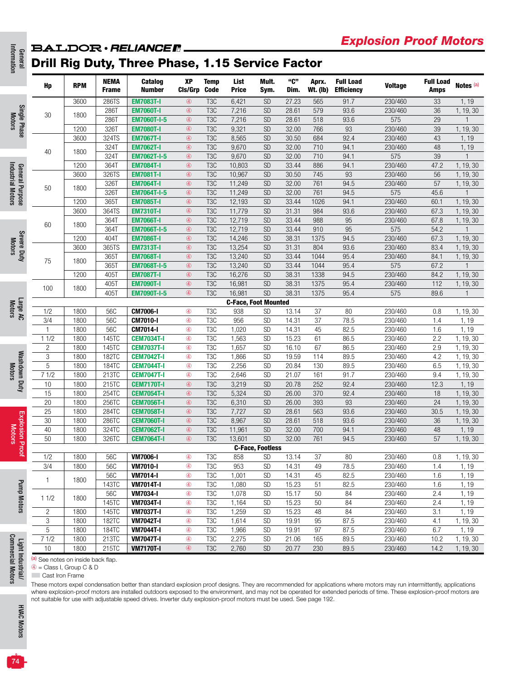# General<br>Information **BALDOR** · RELIANCE R.

# Drill Rig Duty, Three Phase, 1.15 Service Factor

| =                                             | Hp                                                                                          | <b>RPM</b> | NEMA<br><b>Frame</b> | Catalog<br><b>Number</b>                                                                                                                                             | XP<br>Cls/Grp  | <b>Temp</b><br><b>Code</b> | List<br><b>Price</b>        | Mult.<br>Sym.           | "C"<br>Dim. | Aprx.<br><b>Wt. (Ib)</b> | <b>Full Load</b><br><b>Efficiency</b> | <b>Voltage</b> | <b>Full Load</b><br><b>Amps</b> | Notes (a)    |
|-----------------------------------------------|---------------------------------------------------------------------------------------------|------------|----------------------|----------------------------------------------------------------------------------------------------------------------------------------------------------------------|----------------|----------------------------|-----------------------------|-------------------------|-------------|--------------------------|---------------------------------------|----------------|---------------------------------|--------------|
|                                               |                                                                                             | 3600       | 286TS                | <b>EM7083T-I</b>                                                                                                                                                     | $\circledA$    | T <sub>3</sub> C           | 6,421                       | <b>SD</b>               | 27.23       | 565                      | 91.7                                  | 230/460        | 33                              | 1, 19        |
| Single Phase<br>Motors                        | 30                                                                                          | 1800       | 286T                 | <b>EM7060T-I</b>                                                                                                                                                     | $\circledA$    | T <sub>3</sub> C           | 7,216                       | <b>SD</b>               | 28.61       | 579                      | 93.6                                  | 230/460        | 36                              | 1, 19, 30    |
|                                               |                                                                                             |            | 286T                 | <b>EM7060T-I-5</b>                                                                                                                                                   | $\circledA$    | T <sub>3</sub> C           | 7,216                       | <b>SD</b>               | 28.61       | 518                      | 93.6                                  | 575            | 29                              |              |
|                                               |                                                                                             | 1200       | 326T                 | <b>EM7080T-I</b>                                                                                                                                                     | $\circledA$    | T <sub>3</sub> C           | 9,321                       | <b>SD</b>               | 32.00       | 766                      | 93                                    | 230/460        | 39                              | 1, 19, 30    |
|                                               |                                                                                             | 3600       | 324TS                | <b>EM7067T-I</b>                                                                                                                                                     | $\circledA$    | T <sub>3</sub> C           | 8,565                       | SD                      | 30.50       | 684                      | 92.4                                  | 230/460        | 43                              | 1, 19        |
|                                               | 40                                                                                          | 1800       | 324T                 | <b>EM7062T-I</b>                                                                                                                                                     | $\circledA$    | T <sub>3</sub> C           | 9,670                       | <b>SD</b>               | 32.00       | 710                      | 94.1                                  | 230/460        | 48                              | 1, 19        |
|                                               |                                                                                             |            | 324T                 | <b>EM7062T-I-5</b>                                                                                                                                                   | $\circledA$    | T <sub>3</sub> C           | 9,670                       | <b>SD</b>               | 32.00       | 710                      | 94.1                                  | 575            | 39                              |              |
| General Purpose<br>Industrial Motors          |                                                                                             | 1200       | 364T                 | <b>EM7084T-I</b>                                                                                                                                                     | $\circledA$    | T <sub>3</sub> C           | 10,803                      | <b>SD</b>               | 33.44       | 886                      | 94.1                                  | 230/460        | 47.2                            | 1, 19, 30    |
|                                               |                                                                                             | 3600       | 326TS                | <b>EM7081T-I</b>                                                                                                                                                     | $\circledA$    | T <sub>3</sub> C           | 10,967                      | <b>SD</b>               | 30.50       | 745                      | 93                                    | 230/460        | 56                              | 1, 19, 30    |
|                                               | 50                                                                                          | 1800       | 326T                 | <b>EM7064T-I</b>                                                                                                                                                     | $\circledA$    | T <sub>3</sub> C           | 11,249                      | <b>SD</b>               | 32.00       | 761                      | 94.5                                  | 230/460        | 57                              | 1, 19, 30    |
|                                               |                                                                                             |            | 326T                 | <b>EM7064T-I-5</b>                                                                                                                                                   | $\circledA$    | T <sub>3</sub> C           | 11,249                      | <b>SD</b>               | 32.00       | 761                      | 94.5                                  | 575            | 45.6                            |              |
|                                               |                                                                                             | 1200       | 365T                 | <b>EM7085T-I</b>                                                                                                                                                     | $\circledA$    | T <sub>3</sub> C           | 12,193                      | <b>SD</b>               | 33.44       | 1026                     | 94.1                                  | 230/460        | 60.1                            | 1, 19, 30    |
|                                               |                                                                                             | 3600       | 364TS                | <b>EM7310T-I</b>                                                                                                                                                     | $\circledA$    | T <sub>3</sub> C           | 11,779                      | SD                      | 31.31       | 984                      | 93.6                                  | 230/460        | 67.3                            | 1, 19, 30    |
|                                               | 60                                                                                          | 1800       | 364T                 | <b>EM7066T-I</b>                                                                                                                                                     | $\circledA$    | T <sub>3</sub> C           | 12,719                      | <b>SD</b>               | 33.44       | 988                      | 95                                    | 230/460        | 67.8                            | 1, 19, 30    |
|                                               |                                                                                             |            | 364T                 | <b>EM7066T-I-5</b>                                                                                                                                                   | $\circledA$    | T <sub>3</sub> C           | 12,719                      | <b>SD</b>               | 33.44       | 910                      | 95                                    | 575            | 54.2                            |              |
| Severe Duty                                   |                                                                                             | 1200       | 404T                 | <b>EM7086T-I</b>                                                                                                                                                     | $\circledA$    | T <sub>3</sub> C           | 14,246                      | <b>SD</b>               | 38.31       | 1375                     | 94.5                                  | 230/460        | 67.3                            | 1, 19, 30    |
| <b>Motors</b>                                 |                                                                                             | 3600       | 365TS                | <b>EM7313T-I</b>                                                                                                                                                     | $\circledA$    | T <sub>3</sub> C           | 13,254                      | <b>SD</b>               | 31.31       | 804                      | 93.6                                  | 230/460        | 83.4                            | 1, 19, 30    |
|                                               | 75                                                                                          | 1800       | 365T                 | <b>EM7068T-I</b>                                                                                                                                                     | $\circledA$    | T <sub>3</sub> C           | 13,240                      | SD                      | 33.44       | 1044                     | 95.4                                  | 230/460        | 84.1                            | 1, 19, 30    |
|                                               |                                                                                             |            | 365T                 | <b>EM7068T-I-5</b>                                                                                                                                                   | $\circledA$    | T <sub>3</sub> C           | 13,240                      | <b>SD</b>               | 33.44       | 1044                     | 95.4                                  | 575            | 67.2                            |              |
|                                               |                                                                                             | 1200       | 405T                 | <b>EM7087T-I</b>                                                                                                                                                     | $\circledA$    | T <sub>3</sub> C           | 16,276                      | <b>SD</b>               | 38.31       | 1338                     | 94.5                                  | 230/460        | 84.2                            | 1, 19, 30    |
|                                               | 100                                                                                         | 1800       | 405T                 | <b>EM7090T-I</b>                                                                                                                                                     | $\circled{4}$  | T <sub>3</sub> C           | 16,981                      | SD                      | 38.31       | 1375                     | 95.4                                  | 230/460        | 112                             | 1, 19, 30    |
|                                               |                                                                                             |            | 405T                 | <b>EM7090T-I-5</b>                                                                                                                                                   | $\circledA$    | T <sub>3</sub> C           | 16,981                      | SD                      | 38.31       | 1375                     | 95.4                                  | 575            | 89.6                            | $\mathbf{1}$ |
|                                               |                                                                                             |            |                      |                                                                                                                                                                      |                |                            | <b>C-Face, Foot Mounted</b> |                         |             |                          |                                       |                |                                 |              |
| Large AC<br>Motors                            | 1/2                                                                                         | 1800       | 56C                  | <b>CM7006-I</b>                                                                                                                                                      | $^{\circledR}$ | T <sub>3</sub> C           | 938                         | <b>SD</b>               | 13.14       | 37                       | 80                                    | 230/460        | 0.8                             | 1, 19, 30    |
|                                               | 3/4                                                                                         | 1800       | 56C                  | <b>CM7010-I</b>                                                                                                                                                      | $\circledA$    | T <sub>3</sub> C           | 956                         | SD                      | 14.31       | 37                       | 78.5                                  | 230/460        | 1.4                             | 1, 19        |
|                                               | 1                                                                                           | 1800       | 56C                  | CM7014-I                                                                                                                                                             | $^{\circledR}$ | T <sub>3</sub> C           | 1,020                       | SD                      | 14.31       | 45                       | 82.5                                  | 230/460        | 1.6                             | 1, 19        |
|                                               | 11/2                                                                                        | 1800       | 145TC                | <b>CEM7034T-I</b>                                                                                                                                                    | $^{\circledR}$ | T <sub>3</sub> C           | 1,563                       | SD                      | 15.23       | 61                       | 86.5                                  | 230/460        | 2.2                             | 1, 19, 30    |
|                                               | $\overline{c}$                                                                              | 1800       | 145TC                | <b>CEM7037T-I</b>                                                                                                                                                    | $^{\circledR}$ | T <sub>3</sub> C           | 1,657                       | <b>SD</b>               | 16.10       | 67                       | 86.5                                  | 230/460        | 2.9                             | 1, 19, 30    |
|                                               | 3                                                                                           | 1800       | 182TC                | <b>CEM7042T-I</b>                                                                                                                                                    | $\circledA$    | T <sub>3</sub> C           | 1,866                       | SD                      | 19.59       | 114                      | 89.5                                  | 230/460        | 4.2                             | 1, 19, 30    |
| <b>Motors</b>                                 | 5                                                                                           | 1800       | 184TC                | <b>CEM7044T-I</b>                                                                                                                                                    | $\circledA$    | T <sub>3</sub> C           | 2,256                       | SD                      | 20.84       | 130                      | 89.5                                  | 230/460        | 6.5                             | 1, 19, 30    |
| Washdown Duty                                 | 71/2                                                                                        | 1800       | 213TC                | <b>CEM7047T-I</b>                                                                                                                                                    | $^{\circledR}$ | T <sub>3</sub> C           | 2,646                       | SD                      | 21.07       | 161                      | 91.7                                  | 230/460        | 9.4                             | 1, 19, 30    |
|                                               | 10                                                                                          | 1800       | 215TC                | <b>CEM7170T-I</b>                                                                                                                                                    | $\circledA$    | T <sub>3</sub> C           | 3,219                       | <b>SD</b>               | 20.78       | 252                      | 92.4                                  | 230/460        | 12.3                            | 1, 19        |
|                                               | 15                                                                                          | 1800       | 254TC                | <b>CEM7054T-I</b>                                                                                                                                                    | $\circledA$    | T <sub>3</sub> C           | 5,324                       | <b>SD</b>               | 26.00       | 370                      | 92.4                                  | 230/460        | 18                              | 1, 19, 30    |
|                                               | 20                                                                                          | 1800       | 256TC                | <b>CEM7056T-I</b>                                                                                                                                                    | $\circledA$    | T <sub>3</sub> C           | 6,310                       | <b>SD</b>               | 26.00       | 393                      | 93                                    | 230/460        | 24                              | 1, 19, 30    |
|                                               | 25                                                                                          | 1800       | 284TC                | <b>CEM7058T-I</b>                                                                                                                                                    | $\circledast$  | T <sub>3</sub> C           | 7,727                       | <b>SD</b>               | 28.61       | 563                      | 93.6                                  | 230/460        | 30.5                            | 1, 19, 30    |
|                                               | 30                                                                                          | 1800       | 286TC                | <b>CEM7060T-I</b>                                                                                                                                                    | $\circledA$    | T <sub>3</sub> C           | 8,967                       | SD                      | 28.61       | 518                      | 93.6                                  | 230/460        | 36                              | 1, 19, 30    |
| <b>Motors</b>                                 | 40                                                                                          | 1800       | 324TC                | <b>CEM7062T-I</b>                                                                                                                                                    | $\circledA$    | T <sub>3</sub> C           | 11,961                      | SD                      | 32.00       | 700                      | 94.1                                  | 230/460        | 48                              | 1, 19        |
|                                               | 50                                                                                          | 1800       | 326TC                | <b>CEM7064T-I</b>                                                                                                                                                    | $\circledA$    | T <sub>3</sub> C           | 13,601                      | SD                      | 32.00       | 761                      | 94.5                                  | 230/460        | 57                              | 1, 19, 30    |
| Explosion Proof                               |                                                                                             |            |                      |                                                                                                                                                                      |                |                            |                             | <b>C-Face, Footless</b> |             |                          |                                       |                |                                 |              |
|                                               | 1/2                                                                                         | 1800       | 56C                  | <b>VM7006-I</b>                                                                                                                                                      | $\circledA$    | T <sub>3</sub> C           | 858                         | SD                      | 13.14       | 37                       | 80                                    | 230/460        | 0.8                             | 1, 19, 30    |
|                                               | 3/4                                                                                         | 1800       | 56C                  | <b>VM7010-I</b>                                                                                                                                                      | ④              | T3C                        | 953                         | <b>SD</b>               | 14.31       | 49                       | 78.5                                  | 230/460        | 1.4                             | 1, 19        |
|                                               | 1                                                                                           | 1800       | 56C                  | <b>VM7014-I</b>                                                                                                                                                      | $^{\circledR}$ | T <sub>3</sub> C           | 1,001                       | <b>SD</b>               | 14.31       | 45                       | 82.5                                  | 230/460        | 1.6                             | 1, 19        |
|                                               |                                                                                             |            | 143TC                | <b>VM7014T-I</b>                                                                                                                                                     | $^{\circledR}$ | T <sub>3</sub> C           | 1,080                       | SD                      | 15.23       | 51                       | 82.5                                  | 230/460        | 1.6                             | 1, 19        |
|                                               | 11/2                                                                                        | 1800       | 56C                  | <b>VM7034-I</b>                                                                                                                                                      | $^{\circledR}$ | T <sub>3</sub> C           | 1,078                       | <b>SD</b>               | 15.17       | 50                       | 84                                    | 230/460        | 2.4                             | 1, 19        |
| Pump Motors                                   |                                                                                             |            | 145TC                | <b>VM7034T-I</b>                                                                                                                                                     | $\circledA$    | T <sub>3</sub> C           | 1,164                       | <b>SD</b>               | 15.23       | 50                       | 84                                    | 230/460        | 2.4                             | 1,19         |
|                                               | $\overline{c}$                                                                              | 1800       | 145TC                | <b>VM7037T-I</b>                                                                                                                                                     | ④              | T <sub>3</sub> C           | 1,259                       | SD                      | 15.23       | 48                       | 84                                    | 230/460        | 3.1                             | 1, 19        |
|                                               | 3                                                                                           | 1800       | 182TC                | <b>VM7042T-I</b>                                                                                                                                                     | $^{\circledR}$ | T <sub>3</sub> C           | 1,614                       | <b>SD</b>               | 19.91       | 95                       | 87.5                                  | 230/460        | 4.1                             | 1, 19, 30    |
|                                               | 5                                                                                           | 1800       | 184TC                | <b>VM7044T-I</b>                                                                                                                                                     | ④              | T <sub>3</sub> C           | 1,966                       | SD                      | 19.91       | 97                       | 87.5                                  | 230/460        | 6.7                             | 1,19         |
|                                               | 71/2                                                                                        | 1800       | 213TC                | <b>VM7047T-I</b>                                                                                                                                                     | $\circledA$    | T <sub>3</sub> C           | 2,275                       | <b>SD</b>               | 21.06       | 165                      | 89.5                                  | 230/460        | 10.2                            | 1, 19, 30    |
|                                               | 10                                                                                          | 1800       | 215TC                | <b>VM7170T-I</b>                                                                                                                                                     | $\circledA$    | T <sub>3</sub> C           | 2,760                       | <b>SD</b>               | 20.77       | 230                      | 89.5                                  | 230/460        | 14.2                            | 1, 19, 30    |
| <b>Commercial Motors</b><br>Light Industrial/ | (a) See notes on inside back flap.<br>$\circledA$ = Class I, Group C & D<br>Cast Iron Frame |            |                      | These motors eval condensation better than standard evalosion proof designs. They are recommended for applications where motors may run intermittently, applications |                |                            |                             |                         |             |                          |                                       |                |                                 |              |

These motors expel condensation better than standard explosion proof designs. They are recommended for applications where motors may run intermittently, applications where explosion-proof motors are installed outdoors exposed to the environment, and may not be operated for extended periods of time. These explosion-proof motors are not suitable for use with adjustable speed drives. Inverter duty explosion-proof motors must be used. See page 192.

74

Information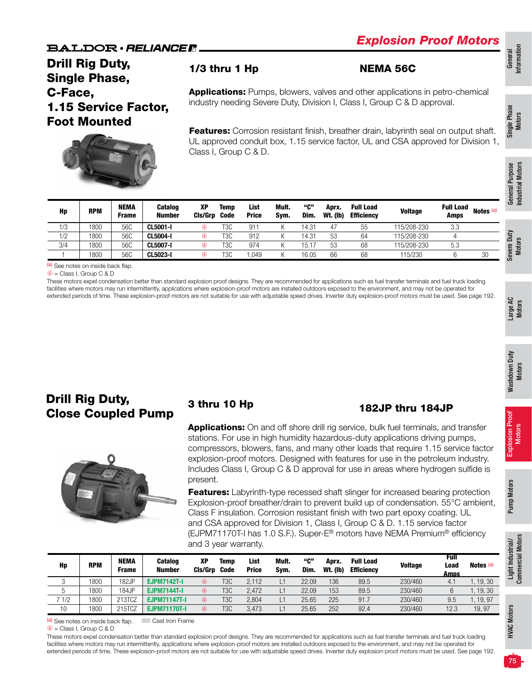## Drill Rig Duty, Single Phase, C-Face, 1.15 Service Factor, Foot Mounted



### 1/3 thru 1 Hp NEMA 56C

**Applications:** Pumps, blowers, valves and other applications in petro-chemical industry needing Severe Duty, Division I, Class I, Group C & D approval.

Features: Corrosion resistant finish, breather drain, labyrinth seal on output shaft. UL approved conduit box, 1.15 service factor, UL and CSA approved for Division 1, Class I, Group C & D.

|     |            |                             | $\leftarrow$             |                |                     |                      |               |             |                          |                                       |                |                          |                      | urpose<br>⋝<br>은<br>General |
|-----|------------|-----------------------------|--------------------------|----------------|---------------------|----------------------|---------------|-------------|--------------------------|---------------------------------------|----------------|--------------------------|----------------------|-----------------------------|
| Hp  | <b>RPM</b> | <b>NEMA</b><br><b>Frame</b> | Catalog<br><b>Number</b> | ХP<br>Cls/Grp  | <b>Temp</b><br>Code | List<br><b>Price</b> | Mult.<br>Sym. | "ር"<br>Dim. | Aprx.<br><b>Wt. (Ib)</b> | <b>Full Load</b><br><b>Efficiency</b> | <b>Voltage</b> | <b>Full Load</b><br>Amps | Notes <sup>(a)</sup> | lnda                        |
| 1/3 | 1800       | 56C                         | <b>CL5001-I</b>          | $^{\circledR}$ | T <sub>3</sub> C    | 911                  |               | 14.31       | 47                       | 55                                    | 115/208-230    | 3.3                      |                      |                             |
| 1/2 | 1800       | 56C                         | <b>CL5004-I</b>          | $^{\circledR}$ | T3C                 | 912                  |               | 14.31       | 53                       | 64                                    | 115/208-230    | 4                        |                      | ≥<br>ā<br>ၑၟ                |
| 3/4 | 1800       | 56C                         | <b>CL5007-I</b>          | $\circledA$    | T3C                 | 974                  |               | 15.17       | 53                       | 68                                    | 115/208-230    | 5.3                      |                      | Moto<br>$\bullet$<br>ā      |
|     | 1800       | 56C                         | <b>CL5023-I</b>          | $^{\circledR}$ | T3C                 | 1,049                |               | 16.05       | 66                       | 68                                    | 115/230        | 6                        | 30                   | ><br>မီ                     |

(a) See notes on inside back flap.

➃ = Class I, Group C & D

These motors expel condensation better than standard explosion proof designs. They are recommended for applications such as fuel transfer terminals and fuel truck loading facilities where motors may run intermittently, applications where explosion-proof motors are installed outdoors exposed to the environment, and may not be operated for extended periods of time. These explosion-proof motors are not suitable for use with adjustable speed drives. Inverter duty explosion-proof motors must be used. See page 192.

### Drill Rig Duty, Drill Fig Duty, 3 thru 10 Hp 182JP thru 184JP



Applications: On and off shore drill rig service, bulk fuel terminals, and transfer stations. For use in high humidity hazardous-duty applications driving pumps, compressors, blowers, fans, and many other loads that require 1.15 service factor explosion-proof motors. Designed with features for use in the petroleum industry. Includes Class I, Group C & D approval for use in areas where hydrogen sulfide is present.

**Features:** Labyrinth-type recessed shaft slinger for increased bearing protection Explosion-proof breather/drain to prevent build up of condensation. 55°C ambient, Class F insulation. Corrosion resistant finish with two part epoxy coating. UL and CSA approved for Division 1, Class I, Group C & D. 1.15 service factor (EJPM71170T-I has 1.0 S.F.). Super-E® motors have NEMA Premium® efficiency and 3 year warranty.

| Hp  | <b>RPM</b> | NEMA<br>Frame | <b>Catalog</b><br><b>Number</b> | <b>XP</b><br>Cis/Grp | Temp<br><b>Code</b> | List<br><b>Price</b> | Mult.<br>Svm. | "C"<br>Dim. | Aprx.<br>Wt. (lb) | <b>Full Load</b><br><b>Efficiency</b> | <b>Voltage</b> | Full<br>Load<br>Amps | Notes (a) |
|-----|------------|---------------|---------------------------------|----------------------|---------------------|----------------------|---------------|-------------|-------------------|---------------------------------------|----------------|----------------------|-----------|
| ັ   | 1800       | 182JP         | <b>EJPM7142T-I</b>              | 4                    | T <sub>3</sub> C    | 2.112                |               | 22.09       | 136               | 89.5                                  | 230/460        | 4.1                  | .19.30    |
| ັ   | 1800       | 184JP         | <b>EJPM7144T-I</b>              | 4                    | T <sub>3</sub> C    | 2.472                | د)            | 22.09       | 153               | 89.5                                  | 230/460        | 6                    | .19.30    |
| 1/2 | 1800       | 213TCZ        | <b>EJPM71147T-I</b>             | 4                    | T3C                 | 2.804                | د1            | 25.65       | 225               | 91.7                                  | 230/460        | 9.5                  | . 19. 97  |
| 10  | 1800       | 215TCZ        | <b>EJPM71170T-I</b>             | 4                    | T3C                 | 3.473                | د)            | 25.65       | 252               | 92.4                                  | 230/460        | 12.3                 | 19.97     |

(a) See notes on inside back flap. **Cast Iron Frame** 

These motors expel condensation better than standard explosion proof designs. They are recommended for applications such as fuel transfer terminals and fuel truck loading facilities where motors may run intermittently, applications where explosion-proof motors are installed outdoors exposed to the environment, and may not be operated for extended periods of time. These explosion-proof motors are not suitable for use with adjustable speed drives. Inverter duty explosion-proof motors must be used. See page 192.

Single Phase Single Phase<br>Motors

 $\circled{4}$  = Class I, Group C & D